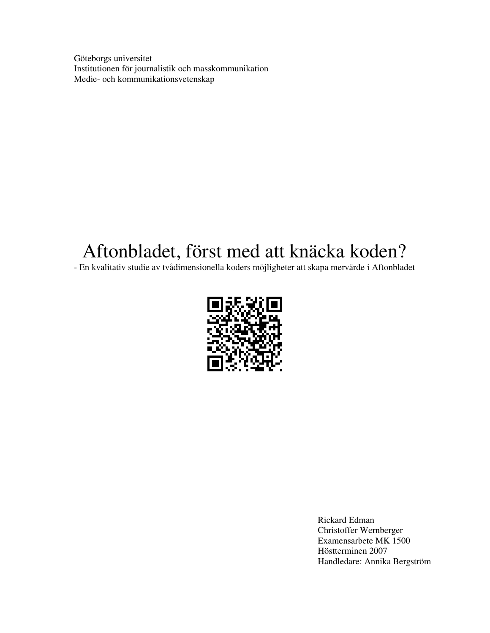Göteborgs universitet Institutionen för journalistik och masskommunikation Medie- och kommunikationsvetenskap

# Aftonbladet, först med att knäcka koden?

- En kvalitativ studie av tvådimensionella koders möjligheter att skapa mervärde i Aftonbladet



Rickard Edman Christoffer Wernberger Examensarbete MK 1500 Höstterminen 2007 Handledare: Annika Bergström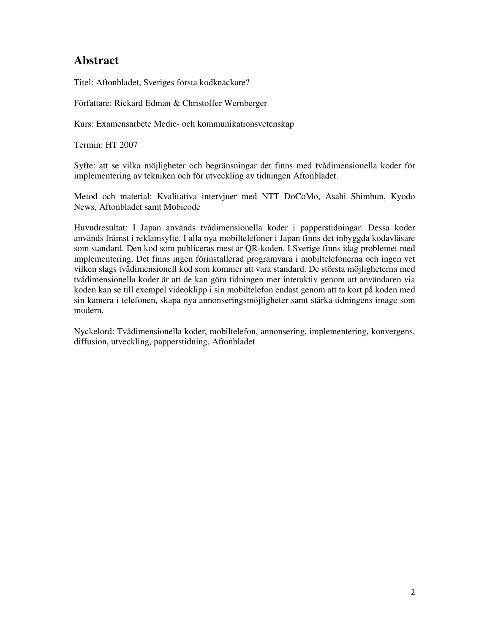## **Abstract**

Titel: Aftonbladet, Sveriges första kodknäckare?

Författare: Rickard Edman & Christoffer Wernberger

Kurs: Examensarbete Medie- och kommunikationsvetenskap

Termin: HT 2007

Syfte: att se vilka möjligheter och begränsningar det finns med tvådimensionella koder för implementering av tekniken och för utveckling av tidningen Aftonbladet.

Metod och material: Kvalitativa intervjuer med NTT DoCoMo, Asahi Shimbun, Kyodo News, Aftonbladet samt Mobicode

Huvudresultat: I Japan används tvådimensionella koder i papperstidningar. Dessa koder används främst i reklamsyfte. I alla nya mobiltelefoner i Japan finns det inbyggda kodavläsare som standard. Den kod som publiceras mest är QR-koden. I Sverige finns idag problemet med implementering. Det finns ingen förinstallerad programvara i mobiltelefonerna och ingen vet vilken slags tvådimensionell kod som kommer att vara standard. De största möjligheterna med tvådimensionella koder är att de kan göra tidningen mer interaktiv genom att användaren via koden kan se till exempel videoklipp i sin mobiltelefon endast genom att ta kort på koden med sin kamera i telefonen, skapa nya annonseringsmöjligheter samt stärka tidningens image som modern.

Nyckelord: Tvådimensionella koder, mobiltelefon, annonsering, implementering, konvergens, diffusion, utveckling, papperstidning, Aftonbladet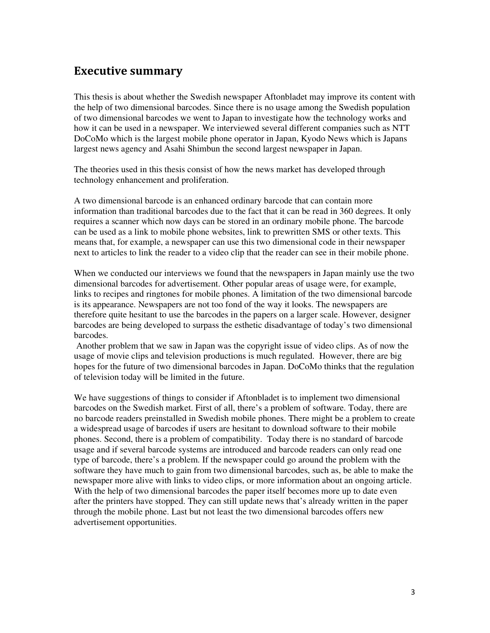## Executive summary

This thesis is about whether the Swedish newspaper Aftonbladet may improve its content with the help of two dimensional barcodes. Since there is no usage among the Swedish population of two dimensional barcodes we went to Japan to investigate how the technology works and how it can be used in a newspaper. We interviewed several different companies such as NTT DoCoMo which is the largest mobile phone operator in Japan, Kyodo News which is Japans largest news agency and Asahi Shimbun the second largest newspaper in Japan.

The theories used in this thesis consist of how the news market has developed through technology enhancement and proliferation.

A two dimensional barcode is an enhanced ordinary barcode that can contain more information than traditional barcodes due to the fact that it can be read in 360 degrees. It only requires a scanner which now days can be stored in an ordinary mobile phone. The barcode can be used as a link to mobile phone websites, link to prewritten SMS or other texts. This means that, for example, a newspaper can use this two dimensional code in their newspaper next to articles to link the reader to a video clip that the reader can see in their mobile phone.

When we conducted our interviews we found that the newspapers in Japan mainly use the two dimensional barcodes for advertisement. Other popular areas of usage were, for example, links to recipes and ringtones for mobile phones. A limitation of the two dimensional barcode is its appearance. Newspapers are not too fond of the way it looks. The newspapers are therefore quite hesitant to use the barcodes in the papers on a larger scale. However, designer barcodes are being developed to surpass the esthetic disadvantage of today's two dimensional barcodes.

 Another problem that we saw in Japan was the copyright issue of video clips. As of now the usage of movie clips and television productions is much regulated. However, there are big hopes for the future of two dimensional barcodes in Japan. DoCoMo thinks that the regulation of television today will be limited in the future.

We have suggestions of things to consider if Aftonbladet is to implement two dimensional barcodes on the Swedish market. First of all, there's a problem of software. Today, there are no barcode readers preinstalled in Swedish mobile phones. There might be a problem to create a widespread usage of barcodes if users are hesitant to download software to their mobile phones. Second, there is a problem of compatibility. Today there is no standard of barcode usage and if several barcode systems are introduced and barcode readers can only read one type of barcode, there's a problem. If the newspaper could go around the problem with the software they have much to gain from two dimensional barcodes, such as, be able to make the newspaper more alive with links to video clips, or more information about an ongoing article. With the help of two dimensional barcodes the paper itself becomes more up to date even after the printers have stopped. They can still update news that's already written in the paper through the mobile phone. Last but not least the two dimensional barcodes offers new advertisement opportunities.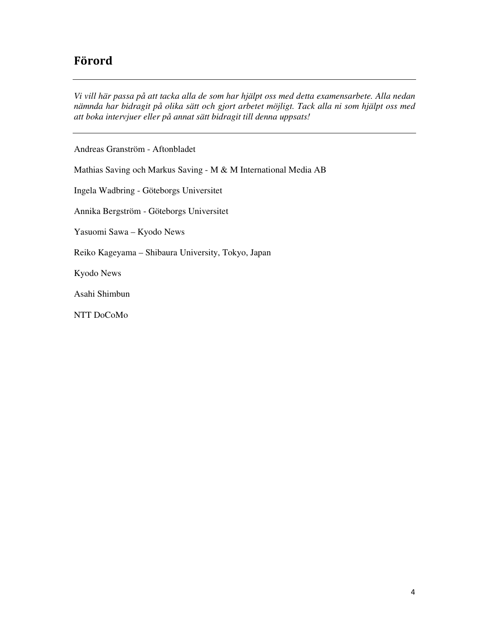## Förord

*Vi vill här passa på att tacka alla de som har hjälpt oss med detta examensarbete. Alla nedan nämnda har bidragit på olika sätt och gjort arbetet möjligt. Tack alla ni som hjälpt oss med att boka intervjuer eller på annat sätt bidragit till denna uppsats!* 

Andreas Granström - Aftonbladet

Mathias Saving och Markus Saving - M & M International Media AB

Ingela Wadbring - Göteborgs Universitet

Annika Bergström - Göteborgs Universitet

Yasuomi Sawa – Kyodo News

Reiko Kageyama – Shibaura University, Tokyo, Japan

Kyodo News

Asahi Shimbun

NTT DoCoMo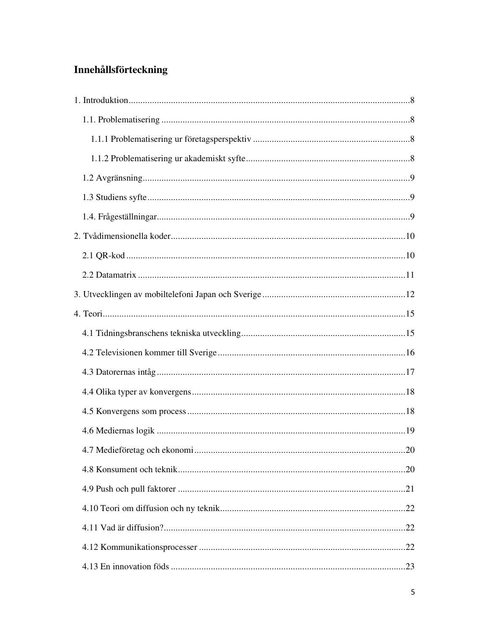## Innehållsförteckning

| 20 |
|----|
|    |
|    |
|    |
|    |
|    |
|    |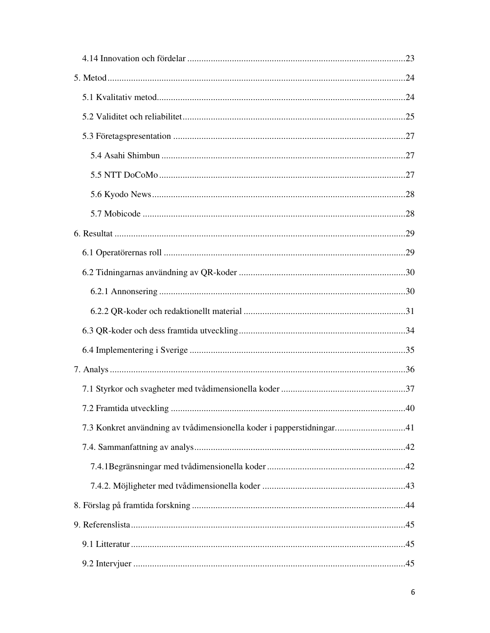| 7.3 Konkret användning av tvådimensionella koder i papperstidningar41 |  |
|-----------------------------------------------------------------------|--|
|                                                                       |  |
|                                                                       |  |
|                                                                       |  |
|                                                                       |  |
|                                                                       |  |
|                                                                       |  |
|                                                                       |  |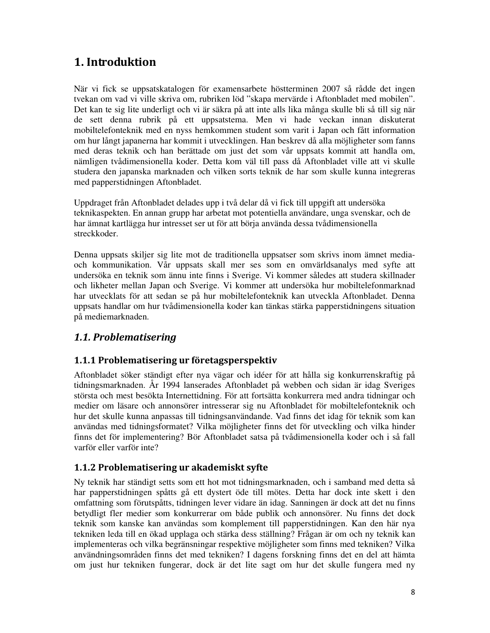## 1. Introduktion

När vi fick se uppsatskatalogen för examensarbete höstterminen 2007 så rådde det ingen tvekan om vad vi ville skriva om, rubriken löd "skapa mervärde i Aftonbladet med mobilen". Det kan te sig lite underligt och vi är säkra på att inte alls lika många skulle bli så till sig när de sett denna rubrik på ett uppsatstema. Men vi hade veckan innan diskuterat mobiltelefonteknik med en nyss hemkommen student som varit i Japan och fått information om hur långt japanerna har kommit i utvecklingen. Han beskrev då alla möjligheter som fanns med deras teknik och han berättade om just det som vår uppsats kommit att handla om, nämligen tvådimensionella koder. Detta kom väl till pass då Aftonbladet ville att vi skulle studera den japanska marknaden och vilken sorts teknik de har som skulle kunna integreras med papperstidningen Aftonbladet.

Uppdraget från Aftonbladet delades upp i två delar då vi fick till uppgift att undersöka teknikaspekten. En annan grupp har arbetat mot potentiella användare, unga svenskar, och de har ämnat kartlägga hur intresset ser ut för att börja använda dessa tvådimensionella streckkoder.

Denna uppsats skiljer sig lite mot de traditionella uppsatser som skrivs inom ämnet mediaoch kommunikation. Vår uppsats skall mer ses som en omvärldsanalys med syfte att undersöka en teknik som ännu inte finns i Sverige. Vi kommer således att studera skillnader och likheter mellan Japan och Sverige. Vi kommer att undersöka hur mobiltelefonmarknad har utvecklats för att sedan se på hur mobiltelefonteknik kan utveckla Aftonbladet. Denna uppsats handlar om hur tvådimensionella koder kan tänkas stärka papperstidningens situation på mediemarknaden.

## 1.1. Problematisering

## 1.1.1 Problematisering ur företagsperspektiv

Aftonbladet söker ständigt efter nya vägar och idéer för att hålla sig konkurrenskraftig på tidningsmarknaden. År 1994 lanserades Aftonbladet på webben och sidan är idag Sveriges största och mest besökta Internettidning. För att fortsätta konkurrera med andra tidningar och medier om läsare och annonsörer intresserar sig nu Aftonbladet för mobiltelefonteknik och hur det skulle kunna anpassas till tidningsanvändande. Vad finns det idag för teknik som kan användas med tidningsformatet? Vilka möjligheter finns det för utveckling och vilka hinder finns det för implementering? Bör Aftonbladet satsa på tvådimensionella koder och i så fall varför eller varför inte?

#### 1.1.2 Problematisering ur akademiskt syfte

Ny teknik har ständigt setts som ett hot mot tidningsmarknaden, och i samband med detta så har papperstidningen spåtts gå ett dystert öde till mötes. Detta har dock inte skett i den omfattning som förutspåtts, tidningen lever vidare än idag. Sanningen är dock att det nu finns betydligt fler medier som konkurrerar om både publik och annonsörer. Nu finns det dock teknik som kanske kan användas som komplement till papperstidningen. Kan den här nya tekniken leda till en ökad upplaga och stärka dess ställning? Frågan är om och ny teknik kan implementeras och vilka begränsningar respektive möjligheter som finns med tekniken? Vilka användningsområden finns det med tekniken? I dagens forskning finns det en del att hämta om just hur tekniken fungerar, dock är det lite sagt om hur det skulle fungera med ny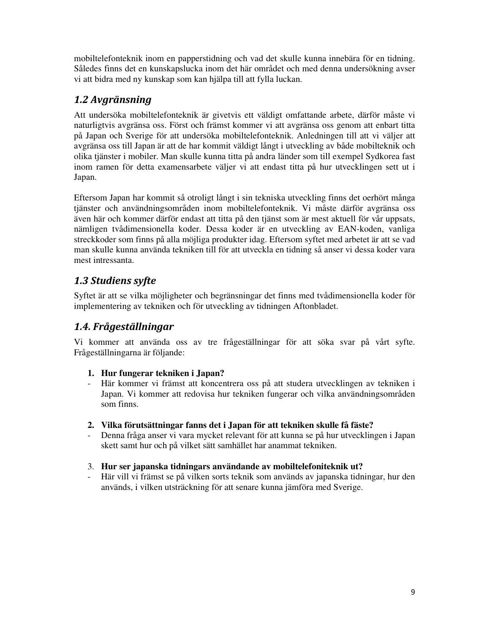mobiltelefonteknik inom en papperstidning och vad det skulle kunna innebära för en tidning. Således finns det en kunskapslucka inom det här området och med denna undersökning avser vi att bidra med ny kunskap som kan hjälpa till att fylla luckan.

## 1.2 Avgränsning

Att undersöka mobiltelefonteknik är givetvis ett väldigt omfattande arbete, därför måste vi naturligtvis avgränsa oss. Först och främst kommer vi att avgränsa oss genom att enbart titta på Japan och Sverige för att undersöka mobiltelefonteknik. Anledningen till att vi väljer att avgränsa oss till Japan är att de har kommit väldigt långt i utveckling av både mobilteknik och olika tjänster i mobiler. Man skulle kunna titta på andra länder som till exempel Sydkorea fast inom ramen för detta examensarbete väljer vi att endast titta på hur utvecklingen sett ut i Japan.

Eftersom Japan har kommit så otroligt långt i sin tekniska utveckling finns det oerhört många tjänster och användningsområden inom mobiltelefonteknik. Vi måste därför avgränsa oss även här och kommer därför endast att titta på den tjänst som är mest aktuell för vår uppsats, nämligen tvådimensionella koder. Dessa koder är en utveckling av EAN-koden, vanliga streckkoder som finns på alla möjliga produkter idag. Eftersom syftet med arbetet är att se vad man skulle kunna använda tekniken till för att utveckla en tidning så anser vi dessa koder vara mest intressanta.

## 1.3 Studiens syfte

Syftet är att se vilka möjligheter och begränsningar det finns med tvådimensionella koder för implementering av tekniken och för utveckling av tidningen Aftonbladet.

## 1.4. Frågeställningar

Vi kommer att använda oss av tre frågeställningar för att söka svar på vårt syfte. Frågeställningarna är följande:

- **1. Hur fungerar tekniken i Japan?**
- Här kommer vi främst att koncentrera oss på att studera utvecklingen av tekniken i Japan. Vi kommer att redovisa hur tekniken fungerar och vilka användningsområden som finns.
- **2. Vilka förutsättningar fanns det i Japan för att tekniken skulle få fäste?**
- Denna fråga anser vi vara mycket relevant för att kunna se på hur utvecklingen i Japan skett samt hur och på vilket sätt samhället har anammat tekniken.
- 3. **Hur ser japanska tidningars användande av mobiltelefoniteknik ut?**
- Här vill vi främst se på vilken sorts teknik som används av japanska tidningar, hur den används, i vilken utsträckning för att senare kunna jämföra med Sverige.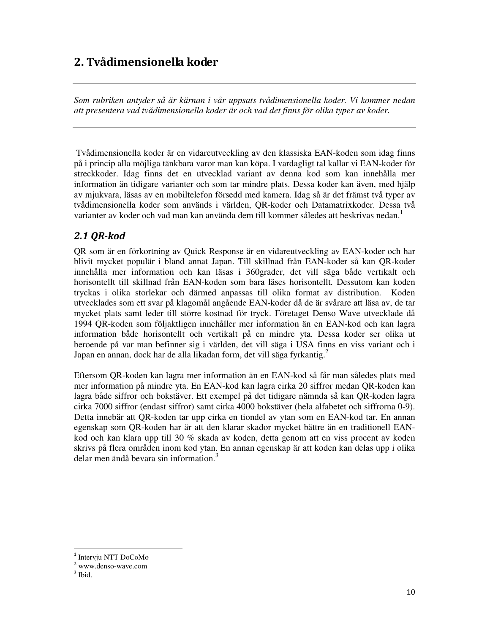## 2. Tvådimensionella koder

*Som rubriken antyder så är kärnan i vår uppsats tvådimensionella koder. Vi kommer nedan att presentera vad tvådimensionella koder är och vad det finns för olika typer av koder.* 

 Tvådimensionella koder är en vidareutveckling av den klassiska EAN-koden som idag finns på i princip alla möjliga tänkbara varor man kan köpa. I vardagligt tal kallar vi EAN-koder för streckkoder. Idag finns det en utvecklad variant av denna kod som kan innehålla mer information än tidigare varianter och som tar mindre plats. Dessa koder kan även, med hjälp av mjukvara, läsas av en mobiltelefon försedd med kamera. Idag så är det främst två typer av tvådimensionella koder som används i världen, QR-koder och Datamatrixkoder. Dessa två varianter av koder och vad man kan använda dem till kommer således att beskrivas nedan.<sup>1</sup>

## 2.1 QR-kod

QR som är en förkortning av Quick Response är en vidareutveckling av EAN-koder och har blivit mycket populär i bland annat Japan. Till skillnad från EAN-koder så kan QR-koder innehålla mer information och kan läsas i 360grader, det vill säga både vertikalt och horisontellt till skillnad från EAN-koden som bara läses horisontellt. Dessutom kan koden tryckas i olika storlekar och därmed anpassas till olika format av distribution. Koden utvecklades som ett svar på klagomål angående EAN-koder då de är svårare att läsa av, de tar mycket plats samt leder till större kostnad för tryck. Företaget Denso Wave utvecklade då 1994 QR-koden som följaktligen innehåller mer information än en EAN-kod och kan lagra information både horisontellt och vertikalt på en mindre yta. Dessa koder ser olika ut beroende på var man befinner sig i världen, det vill säga i USA finns en viss variant och i Japan en annan, dock har de alla likadan form, det vill säga fyrkantig.<sup>2</sup>

Eftersom QR-koden kan lagra mer information än en EAN-kod så får man således plats med mer information på mindre yta. En EAN-kod kan lagra cirka 20 siffror medan QR-koden kan lagra både siffror och bokstäver. Ett exempel på det tidigare nämnda så kan QR-koden lagra cirka 7000 siffror (endast siffror) samt cirka 4000 bokstäver (hela alfabetet och siffrorna 0-9). Detta innebär att QR-koden tar upp cirka en tiondel av ytan som en EAN-kod tar. En annan egenskap som QR-koden har är att den klarar skador mycket bättre än en traditionell EANkod och kan klara upp till 30 % skada av koden, detta genom att en viss procent av koden skrivs på flera områden inom kod ytan. En annan egenskap är att koden kan delas upp i olika delar men ändå bevara sin information.<sup>3</sup>

<sup>&</sup>lt;sup>1</sup> Intervju NTT DoCoMo

<sup>2</sup> www.denso-wave.com

 $3$  Ibid.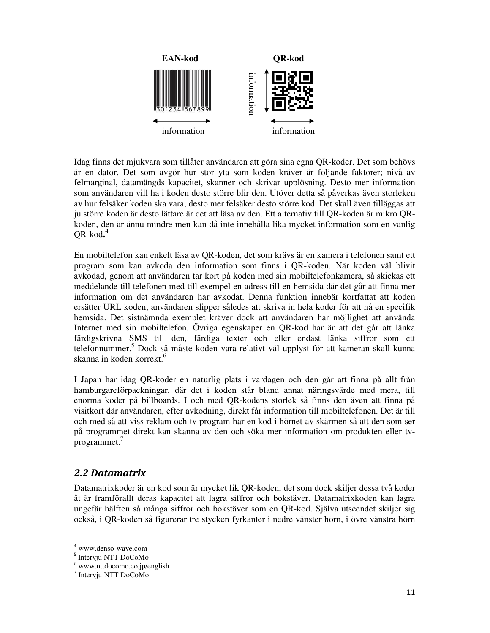

Idag finns det mjukvara som tillåter användaren att göra sina egna QR-koder. Det som behövs är en dator. Det som avgör hur stor yta som koden kräver är följande faktorer; nivå av felmarginal, datamängds kapacitet, skanner och skrivar upplösning. Desto mer information som användaren vill ha i koden desto större blir den. Utöver detta så påverkas även storleken av hur felsäker koden ska vara, desto mer felsäker desto större kod. Det skall även tilläggas att ju större koden är desto lättare är det att läsa av den. Ett alternativ till QR-koden är mikro QRkoden, den är ännu mindre men kan då inte innehålla lika mycket information som en vanlig QR-kod**. 4** 

En mobiltelefon kan enkelt läsa av QR-koden, det som krävs är en kamera i telefonen samt ett program som kan avkoda den information som finns i QR-koden. När koden väl blivit avkodad, genom att användaren tar kort på koden med sin mobiltelefonkamera, så skickas ett meddelande till telefonen med till exempel en adress till en hemsida där det går att finna mer information om det användaren har avkodat. Denna funktion innebär kortfattat att koden ersätter URL koden, användaren slipper således att skriva in hela koder för att nå en specifik hemsida. Det sistnämnda exemplet kräver dock att användaren har möjlighet att använda Internet med sin mobiltelefon. Övriga egenskaper en QR-kod har är att det går att länka färdigskrivna SMS till den, färdiga texter och eller endast länka siffror som ett telefonnummer.<sup>5</sup> Dock så måste koden vara relativt väl upplyst för att kameran skall kunna skanna in koden korrekt.<sup>6</sup>

I Japan har idag QR-koder en naturlig plats i vardagen och den går att finna på allt från hamburgareförpackningar, där det i koden står bland annat näringsvärde med mera, till enorma koder på billboards. I och med QR-kodens storlek så finns den även att finna på visitkort där användaren, efter avkodning, direkt får information till mobiltelefonen. Det är till och med så att viss reklam och tv-program har en kod i hörnet av skärmen så att den som ser på programmet direkt kan skanna av den och söka mer information om produkten eller tvprogrammet. $7$ 

## 2.2 Datamatrix

Datamatrixkoder är en kod som är mycket lik QR-koden, det som dock skiljer dessa två koder åt är framförallt deras kapacitet att lagra siffror och bokstäver. Datamatrixkoden kan lagra ungefär hälften så många siffror och bokstäver som en QR-kod. Själva utseendet skiljer sig också, i QR-koden så figurerar tre stycken fyrkanter i nedre vänster hörn, i övre vänstra hörn

<sup>4</sup> www.denso-wave.com

<sup>5</sup> Intervju NTT DoCoMo

<sup>6</sup> www.nttdocomo.co.jp/english

<sup>7</sup> Intervju NTT DoCoMo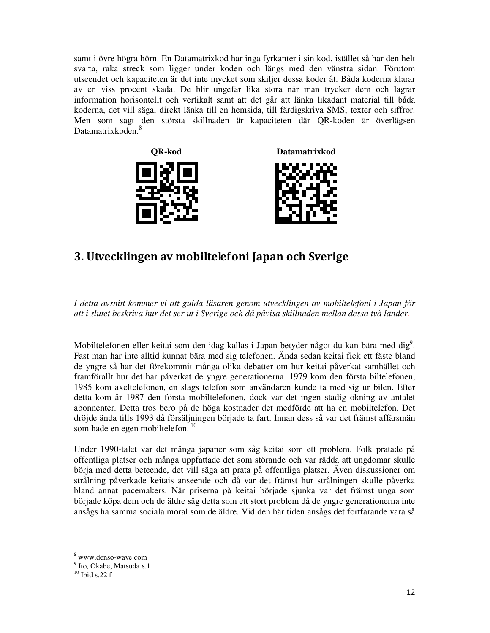samt i övre högra hörn. En Datamatrixkod har inga fyrkanter i sin kod, istället så har den helt svarta, raka streck som ligger under koden och längs med den vänstra sidan. Förutom utseendet och kapaciteten är det inte mycket som skiljer dessa koder åt. Båda koderna klarar av en viss procent skada. De blir ungefär lika stora när man trycker dem och lagrar information horisontellt och vertikalt samt att det går att länka likadant material till båda koderna, det vill säga, direkt länka till en hemsida, till färdigskriva SMS, texter och siffror. Men som sagt den största skillnaden är kapaciteten där QR-koden är överlägsen Datamatrixkoden.<sup>8</sup>





## 3. Utvecklingen av mobiltelefoni Japan och Sverige

*I detta avsnitt kommer vi att guida läsaren genom utvecklingen av mobiltelefoni i Japan för att i slutet beskriva hur det ser ut i Sverige och då påvisa skillnaden mellan dessa två länder.* 

Mobiltelefonen eller keitai som den idag kallas i Japan betyder något du kan bära med dig<sup>9</sup>. Fast man har inte alltid kunnat bära med sig telefonen. Ända sedan keitai fick ett fäste bland de yngre så har det förekommit många olika debatter om hur keitai påverkat samhället och framförallt hur det har påverkat de yngre generationerna. 1979 kom den första biltelefonen, 1985 kom axeltelefonen, en slags telefon som användaren kunde ta med sig ur bilen. Efter detta kom år 1987 den första mobiltelefonen, dock var det ingen stadig ökning av antalet abonnenter. Detta tros bero på de höga kostnader det medförde att ha en mobiltelefon. Det dröjde ända tills 1993 då försäljningen började ta fart. Innan dess så var det främst affärsmän som hade en egen mobiltelefon.<sup>10</sup>

Under 1990-talet var det många japaner som såg keitai som ett problem. Folk pratade på offentliga platser och många uppfattade det som störande och var rädda att ungdomar skulle börja med detta beteende, det vill säga att prata på offentliga platser. Även diskussioner om strålning påverkade keitais anseende och då var det främst hur strålningen skulle påverka bland annat pacemakers. När priserna på keitai började sjunka var det främst unga som började köpa dem och de äldre såg detta som ett stort problem då de yngre generationerna inte ansågs ha samma sociala moral som de äldre. Vid den här tiden ansågs det fortfarande vara så

<sup>8</sup> www.denso-wave.com

<sup>&</sup>lt;sup>9</sup> Ito, Okabe, Matsuda s.1

 $^{10}$  Ibid s.22 f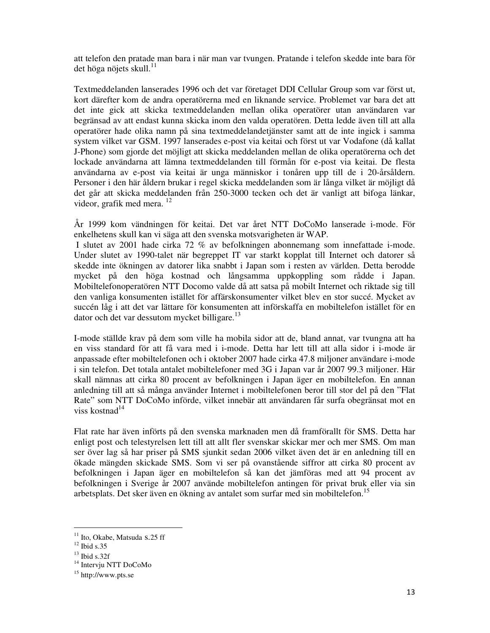att telefon den pratade man bara i när man var tvungen. Pratande i telefon skedde inte bara för det höga nöjets skull. $^{11}$ 

Textmeddelanden lanserades 1996 och det var företaget DDI Cellular Group som var först ut, kort därefter kom de andra operatörerna med en liknande service. Problemet var bara det att det inte gick att skicka textmeddelanden mellan olika operatörer utan användaren var begränsad av att endast kunna skicka inom den valda operatören. Detta ledde även till att alla operatörer hade olika namn på sina textmeddelandetjänster samt att de inte ingick i samma system vilket var GSM. 1997 lanserades e-post via keitai och först ut var Vodafone (då kallat J-Phone) som gjorde det möjligt att skicka meddelanden mellan de olika operatörerna och det lockade användarna att lämna textmeddelanden till förmån för e-post via keitai. De flesta användarna av e-post via keitai är unga människor i tonåren upp till de i 20-årsåldern. Personer i den här åldern brukar i regel skicka meddelanden som är långa vilket är möjligt då det går att skicka meddelanden från 250-3000 tecken och det är vanligt att bifoga länkar, videor, grafik med mera.<sup>12</sup>

År 1999 kom vändningen för keitai. Det var året NTT DoCoMo lanserade i-mode. För enkelhetens skull kan vi säga att den svenska motsvarigheten är WAP.

 I slutet av 2001 hade cirka 72 % av befolkningen abonnemang som innefattade i-mode. Under slutet av 1990-talet när begreppet IT var starkt kopplat till Internet och datorer så skedde inte ökningen av datorer lika snabbt i Japan som i resten av världen. Detta berodde mycket på den höga kostnad och långsamma uppkoppling som rådde i Japan. Mobiltelefonoperatören NTT Docomo valde då att satsa på mobilt Internet och riktade sig till den vanliga konsumenten istället för affärskonsumenter vilket blev en stor succé. Mycket av succén låg i att det var lättare för konsumenten att införskaffa en mobiltelefon istället för en  $\mu$ dator och det var dessutom mycket billigare.<sup>13</sup>

I-mode ställde krav på dem som ville ha mobila sidor att de, bland annat, var tvungna att ha en viss standard för att få vara med i i-mode. Detta har lett till att alla sidor i i-mode är anpassade efter mobiltelefonen och i oktober 2007 hade cirka 47.8 miljoner användare i-mode i sin telefon. Det totala antalet mobiltelefoner med 3G i Japan var år 2007 99.3 miljoner. Här skall nämnas att cirka 80 procent av befolkningen i Japan äger en mobiltelefon. En annan anledning till att så många använder Internet i mobiltelefonen beror till stor del på den "Flat Rate" som NTT DoCoMo införde, vilket innebär att användaren får surfa obegränsat mot en viss kostnad<sup>14</sup>

Flat rate har även införts på den svenska marknaden men då framförallt för SMS. Detta har enligt post och telestyrelsen lett till att allt fler svenskar skickar mer och mer SMS. Om man ser över lag så har priser på SMS sjunkit sedan 2006 vilket även det är en anledning till en ökade mängden skickade SMS. Som vi ser på ovanstående siffror att cirka 80 procent av befolkningen i Japan äger en mobiltelefon så kan det jämföras med att 94 procent av befolkningen i Sverige år 2007 använde mobiltelefon antingen för privat bruk eller via sin arbetsplats. Det sker även en ökning av antalet som surfar med sin mobiltelefon.<sup>15</sup>

<u>.</u>

<sup>&</sup>lt;sup>11</sup> Ito, Okabe, Matsuda s.25 ff

 $12$  Ibid s.35

 $13$  Ibid s.32f

<sup>&</sup>lt;sup>14</sup> Intervju NTT DoCoMo

<sup>15</sup> http://www.pts.se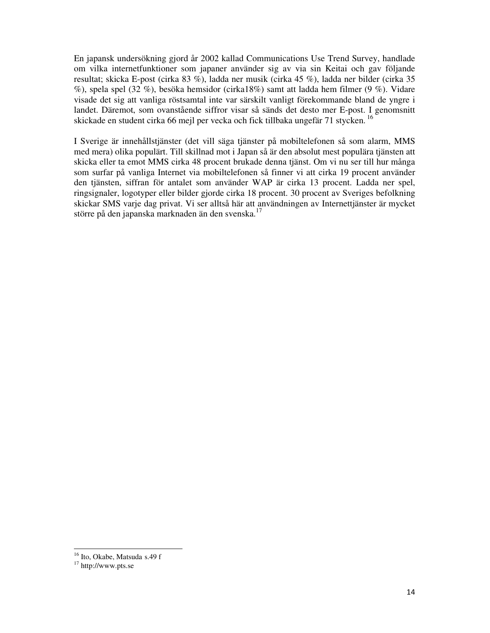En japansk undersökning gjord år 2002 kallad Communications Use Trend Survey, handlade om vilka internetfunktioner som japaner använder sig av via sin Keitai och gav följande resultat; skicka E-post (cirka 83 %), ladda ner musik (cirka 45 %), ladda ner bilder (cirka 35 %), spela spel (32 %), besöka hemsidor (cirka18%) samt att ladda hem filmer (9 %). Vidare visade det sig att vanliga röstsamtal inte var särskilt vanligt förekommande bland de yngre i landet. Däremot, som ovanstående siffror visar så sänds det desto mer E-post. I genomsnitt skickade en student cirka 66 mejl per vecka och fick tillbaka ungefär 71 stycken.<sup>16</sup>

I Sverige är innehållstjänster (det vill säga tjänster på mobiltelefonen så som alarm, MMS med mera) olika populärt. Till skillnad mot i Japan så är den absolut mest populära tjänsten att skicka eller ta emot MMS cirka 48 procent brukade denna tjänst. Om vi nu ser till hur många som surfar på vanliga Internet via mobiltelefonen så finner vi att cirka 19 procent använder den tjänsten, siffran för antalet som använder WAP är cirka 13 procent. Ladda ner spel, ringsignaler, logotyper eller bilder gjorde cirka 18 procent. 30 procent av Sveriges befolkning skickar SMS varje dag privat. Vi ser alltså här att användningen av Internettjänster är mycket större på den japanska marknaden än den svenska.<sup>17</sup>

<sup>&</sup>lt;sup>16</sup> Ito, Okabe, Matsuda s.49 f

<sup>17</sup> http://www.pts.se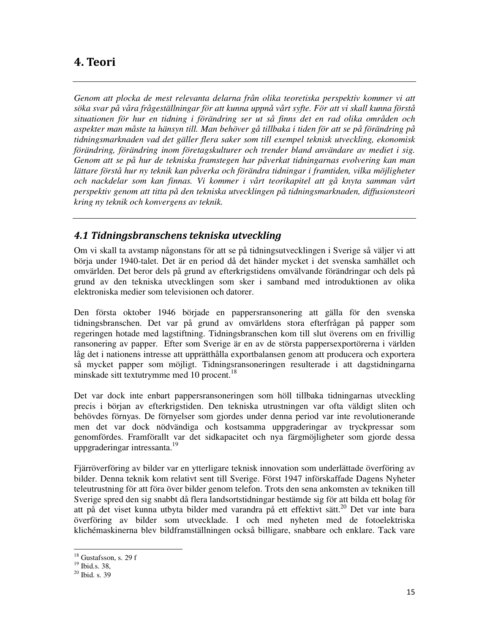## 4. Teori

*Genom att plocka de mest relevanta delarna från olika teoretiska perspektiv kommer vi att söka svar på våra frågeställningar för att kunna uppnå vårt syfte. För att vi skall kunna förstå situationen för hur en tidning i förändring ser ut så finns det en rad olika områden och aspekter man måste ta hänsyn till. Man behöver gå tillbaka i tiden för att se på förändring på tidningsmarknaden vad det gäller flera saker som till exempel teknisk utveckling, ekonomisk förändring, förändring inom företagskulturer och trender bland användare av mediet i sig. Genom att se på hur de tekniska framstegen har påverkat tidningarnas evolvering kan man lättare förstå hur ny teknik kan påverka och förändra tidningar i framtiden, vilka möjligheter och nackdelar som kan finnas. Vi kommer i vårt teorikapitel att gå knyta samman vårt perspektiv genom att titta på den tekniska utvecklingen på tidningsmarknaden, diffusionsteori kring ny teknik och konvergens av teknik.* 

## 4.1 Tidningsbranschens tekniska utveckling

Om vi skall ta avstamp någonstans för att se på tidningsutvecklingen i Sverige så väljer vi att börja under 1940-talet. Det är en period då det händer mycket i det svenska samhället och omvärlden. Det beror dels på grund av efterkrigstidens omvälvande förändringar och dels på grund av den tekniska utvecklingen som sker i samband med introduktionen av olika elektroniska medier som televisionen och datorer.

Den första oktober 1946 började en pappersransonering att gälla för den svenska tidningsbranschen. Det var på grund av omvärldens stora efterfrågan på papper som regeringen hotade med lagstiftning. Tidningsbranschen kom till slut överens om en frivillig ransonering av papper. Efter som Sverige är en av de största pappersexportörerna i världen låg det i nationens intresse att upprätthålla exportbalansen genom att producera och exportera så mycket papper som möjligt. Tidningsransoneringen resulterade i att dagstidningarna minskade sitt textutrymme med 10 procent.<sup>18</sup>

Det var dock inte enbart pappersransoneringen som höll tillbaka tidningarnas utveckling precis i början av efterkrigstiden. Den tekniska utrustningen var ofta väldigt sliten och behövdes förnyas. De förnyelser som gjordes under denna period var inte revolutionerande men det var dock nödvändiga och kostsamma uppgraderingar av tryckpressar som genomfördes. Framförallt var det sidkapacitet och nya färgmöjligheter som gjorde dessa uppgraderingar intressanta.<sup>19</sup>

Fjärröverföring av bilder var en ytterligare teknisk innovation som underlättade överföring av bilder. Denna teknik kom relativt sent till Sverige. Först 1947 införskaffade Dagens Nyheter teleutrustning för att föra över bilder genom telefon. Trots den sena ankomsten av tekniken till Sverige spred den sig snabbt då flera landsortstidningar bestämde sig för att bilda ett bolag för att på det viset kunna utbyta bilder med varandra på ett effektivt sätt.<sup>20</sup> Det var inte bara överföring av bilder som utvecklade. I och med nyheten med de fotoelektriska klichémaskinerna blev bildframställningen också billigare, snabbare och enklare. Tack vare

<u>.</u>

<sup>&</sup>lt;sup>18</sup> Gustafsson, s. 29 f

<sup>19</sup> Ibid.s. 38,

 $^{20}$  Ibid. s. 39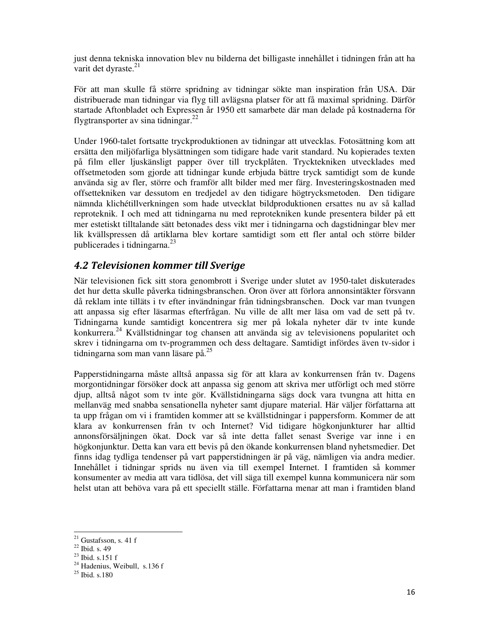just denna tekniska innovation blev nu bilderna det billigaste innehållet i tidningen från att ha varit det dyraste.<sup>21</sup>

För att man skulle få större spridning av tidningar sökte man inspiration från USA. Där distribuerade man tidningar via flyg till avlägsna platser för att få maximal spridning. Därför startade Aftonbladet och Expressen år 1950 ett samarbete där man delade på kostnaderna för flygtransporter av sina tidningar. $^{22}$ 

Under 1960-talet fortsatte tryckproduktionen av tidningar att utvecklas. Fotosättning kom att ersätta den miljöfarliga blysättningen som tidigare hade varit standard. Nu kopierades texten på film eller ljuskänsligt papper över till tryckplåten. Trycktekniken utvecklades med offsetmetoden som gjorde att tidningar kunde erbjuda bättre tryck samtidigt som de kunde använda sig av fler, större och framför allt bilder med mer färg. Investeringskostnaden med offsettekniken var dessutom en tredjedel av den tidigare högtrycksmetoden. Den tidigare nämnda klichétillverkningen som hade utvecklat bildproduktionen ersattes nu av så kallad reproteknik. I och med att tidningarna nu med reprotekniken kunde presentera bilder på ett mer estetiskt tilltalande sätt betonades dess vikt mer i tidningarna och dagstidningar blev mer lik kvällspressen då artiklarna blev kortare samtidigt som ett fler antal och större bilder publicerades i tidningarna.<sup>23</sup>

## 4.2 Televisionen kommer till Sverige

När televisionen fick sitt stora genombrott i Sverige under slutet av 1950-talet diskuterades det hur detta skulle påverka tidningsbranschen. Oron över att förlora annonsintäkter försvann då reklam inte tilläts i tv efter invändningar från tidningsbranschen. Dock var man tvungen att anpassa sig efter läsarmas efterfrågan. Nu ville de allt mer läsa om vad de sett på tv. Tidningarna kunde samtidigt koncentrera sig mer på lokala nyheter där tv inte kunde konkurrera.<sup>24</sup> Kvällstidningar tog chansen att använda sig av televisionens popularitet och skrev i tidningarna om tv-programmen och dess deltagare. Samtidigt infördes även tv-sidor i tidningarna som man vann läsare på.<sup>25</sup>

Papperstidningarna måste alltså anpassa sig för att klara av konkurrensen från tv. Dagens morgontidningar försöker dock att anpassa sig genom att skriva mer utförligt och med större djup, alltså något som tv inte gör. Kvällstidningarna sägs dock vara tvungna att hitta en mellanväg med snabba sensationella nyheter samt djupare material. Här väljer författarna att ta upp frågan om vi i framtiden kommer att se kvällstidningar i pappersform. Kommer de att klara av konkurrensen från tv och Internet? Vid tidigare högkonjunkturer har alltid annonsförsäljningen ökat. Dock var så inte detta fallet senast Sverige var inne i en högkonjunktur. Detta kan vara ett bevis på den ökande konkurrensen bland nyhetsmedier. Det finns idag tydliga tendenser på vart papperstidningen är på väg, nämligen via andra medier. Innehållet i tidningar sprids nu även via till exempel Internet. I framtiden så kommer konsumenter av media att vara tidlösa, det vill säga till exempel kunna kommunicera när som helst utan att behöva vara på ett speciellt ställe. Författarna menar att man i framtiden bland

 $21$  Gustafsson, s. 41 f

<sup>22</sup> Ibid. s. 49

 $23$  Ibid. s.151 f

<sup>&</sup>lt;sup>24</sup> Hadenius, Weibull, s.136 f

 $25$  Ibid. s. 180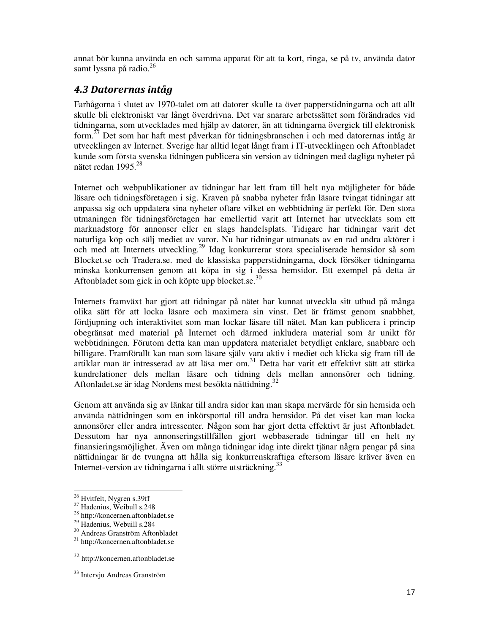annat bör kunna använda en och samma apparat för att ta kort, ringa, se på tv, använda dator samt lyssna på radio.<sup>26</sup>

## 4.3 Datorernas intåg

Farhågorna i slutet av 1970-talet om att datorer skulle ta över papperstidningarna och att allt skulle bli elektroniskt var långt överdrivna. Det var snarare arbetssättet som förändrades vid tidningarna, som utvecklades med hjälp av datorer, än att tidningarna övergick till elektronisk form.<sup>27</sup> Det som har haft mest påverkan för tidningsbranschen i och med datorernas intåg är utvecklingen av Internet. Sverige har alltid legat långt fram i IT-utvecklingen och Aftonbladet kunde som första svenska tidningen publicera sin version av tidningen med dagliga nyheter på nätet redan 1995. $^{28}$ 

Internet och webpublikationer av tidningar har lett fram till helt nya möjligheter för både läsare och tidningsföretagen i sig. Kraven på snabba nyheter från läsare tvingat tidningar att anpassa sig och uppdatera sina nyheter oftare vilket en webbtidning är perfekt för. Den stora utmaningen för tidningsföretagen har emellertid varit att Internet har utvecklats som ett marknadstorg för annonser eller en slags handelsplats. Tidigare har tidningar varit det naturliga köp och sälj mediet av varor. Nu har tidningar utmanats av en rad andra aktörer i och med att Internets utveckling.<sup>29</sup> Idag konkurrerar stora specialiserade hemsidor så som Blocket.se och Tradera.se. med de klassiska papperstidningarna, dock försöker tidningarna minska konkurrensen genom att köpa in sig i dessa hemsidor. Ett exempel på detta är Aftonbladet som gick in och köpte upp blocket.se. $30$ 

Internets framväxt har gjort att tidningar på nätet har kunnat utveckla sitt utbud på många olika sätt för att locka läsare och maximera sin vinst. Det är främst genom snabbhet, fördjupning och interaktivitet som man lockar läsare till nätet. Man kan publicera i princip obegränsat med material på Internet och därmed inkludera material som är unikt för webbtidningen. Förutom detta kan man uppdatera materialet betydligt enklare, snabbare och billigare. Framförallt kan man som läsare själv vara aktiv i mediet och klicka sig fram till de artiklar man är intresserad av att läsa mer om.<sup>31</sup> Detta har varit ett effektivt sätt att stärka kundrelationer dels mellan läsare och tidning dels mellan annonsörer och tidning. Aftonladet.se är idag Nordens mest besökta nättidning.<sup>32</sup>

Genom att använda sig av länkar till andra sidor kan man skapa mervärde för sin hemsida och använda nättidningen som en inkörsportal till andra hemsidor. På det viset kan man locka annonsörer eller andra intressenter. Någon som har gjort detta effektivt är just Aftonbladet. Dessutom har nya annonseringstillfällen gjort webbaserade tidningar till en helt ny finansieringsmöjlighet. Även om många tidningar idag inte direkt tjänar några pengar på sina nättidningar är de tvungna att hålla sig konkurrenskraftiga eftersom läsare kräver även en Internet-version av tidningarna i allt större utsträckning.<sup>33</sup>

<u>.</u>

<sup>26</sup> Hvitfelt, Nygren s.39ff

 $27$  Hadenius, Weibull s.248

<sup>28</sup> http://koncernen.aftonbladet.se

<sup>&</sup>lt;sup>29</sup> Hadenius, Webuill s.284

<sup>30</sup> Andreas Granström Aftonbladet

<sup>31</sup> http://koncernen.aftonbladet.se

<sup>32</sup> http://koncernen.aftonbladet.se

<sup>33</sup> Intervju Andreas Granström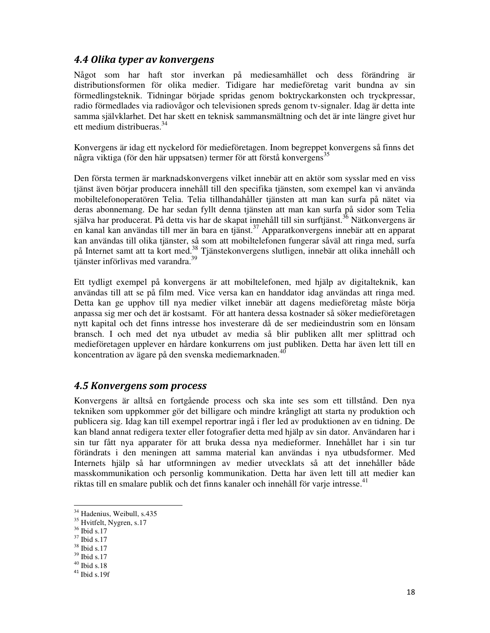#### 4.4 Olika typer av konvergens

Något som har haft stor inverkan på mediesamhället och dess förändring är distributionsformen för olika medier. Tidigare har medieföretag varit bundna av sin förmedlingsteknik. Tidningar började spridas genom boktryckarkonsten och tryckpressar, radio förmedlades via radiovågor och televisionen spreds genom tv-signaler. Idag är detta inte samma självklarhet. Det har skett en teknisk sammansmältning och det är inte längre givet hur ett medium distribueras.<sup>34</sup>

Konvergens är idag ett nyckelord för medieföretagen. Inom begreppet konvergens så finns det några viktiga (för den här uppsatsen) termer för att förstå konvergens<sup>35</sup>

Den första termen är marknadskonvergens vilket innebär att en aktör som sysslar med en viss tjänst även börjar producera innehåll till den specifika tjänsten, som exempel kan vi använda mobiltelefonoperatören Telia. Telia tillhandahåller tjänsten att man kan surfa på nätet via deras abonnemang. De har sedan fyllt denna tjänsten att man kan surfa på sidor som Telia själva har producerat. På detta vis har de skapat innehåll till sin surftjänst.<sup>36</sup> Nätkonvergens är en kanal kan användas till mer än bara en tjänst.<sup>37</sup> Apparatkonvergens innebär att en apparat kan användas till olika tjänster, så som att mobiltelefonen fungerar såväl att ringa med, surfa på Internet samt att ta kort med.<sup>38</sup> Tjänstekonvergens slutligen, innebär att olika innehåll och tjänster införlivas med varandra.<sup>39</sup>

Ett tydligt exempel på konvergens är att mobiltelefonen, med hjälp av digitalteknik, kan användas till att se på film med. Vice versa kan en handdator idag användas att ringa med. Detta kan ge upphov till nya medier vilket innebär att dagens medieföretag måste börja anpassa sig mer och det är kostsamt. För att hantera dessa kostnader så söker medieföretagen nytt kapital och det finns intresse hos investerare då de ser medieindustrin som en lönsam bransch. I och med det nya utbudet av media så blir publiken allt mer splittrad och medieföretagen upplever en hårdare konkurrens om just publiken. Detta har även lett till en koncentration av ägare på den svenska mediemarknaden.<sup>40</sup>

#### 4.5 Konvergens som process

Konvergens är alltså en fortgående process och ska inte ses som ett tillstånd. Den nya tekniken som uppkommer gör det billigare och mindre krångligt att starta ny produktion och publicera sig. Idag kan till exempel reportrar ingå i fler led av produktionen av en tidning. De kan bland annat redigera texter eller fotografier detta med hjälp av sin dator. Användaren har i sin tur fått nya apparater för att bruka dessa nya medieformer. Innehållet har i sin tur förändrats i den meningen att samma material kan användas i nya utbudsformer. Med Internets hjälp så har utformningen av medier utvecklats så att det innehåller både masskommunikation och personlig kommunikation. Detta har även lett till att medier kan riktas till en smalare publik och det finns kanaler och innehåll för varje intresse.<sup>41</sup>

<u>.</u>

<sup>34</sup> Hadenius, Weibull, s.435

<sup>&</sup>lt;sup>35</sup> Hvitfelt, Nygren, s.17

 $36$  Ibid s.17

<sup>37</sup> Ibid s.17

<sup>38</sup> Ibid s.17

<sup>39</sup> Ibid s.17

 $^{40}$  Ibid s.18  $\,$ 

 $41$  Ibid s.19f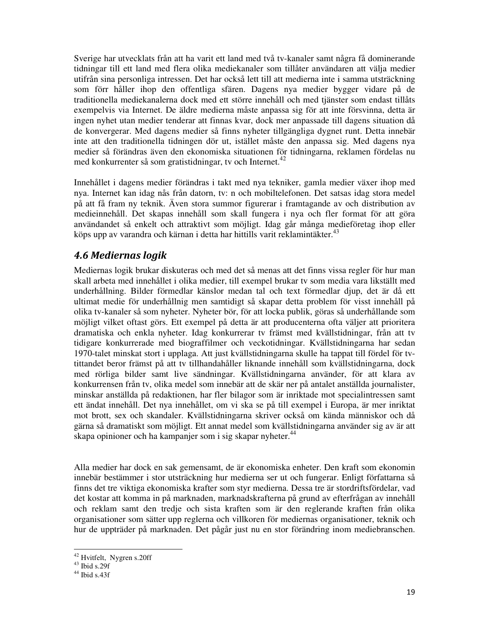Sverige har utvecklats från att ha varit ett land med två tv-kanaler samt några få dominerande tidningar till ett land med flera olika mediekanaler som tillåter användaren att välja medier utifrån sina personliga intressen. Det har också lett till att medierna inte i samma utsträckning som förr håller ihop den offentliga sfären. Dagens nya medier bygger vidare på de traditionella mediekanalerna dock med ett större innehåll och med tjänster som endast tillåts exempelvis via Internet. De äldre medierna måste anpassa sig för att inte försvinna, detta är ingen nyhet utan medier tenderar att finnas kvar, dock mer anpassade till dagens situation då de konvergerar. Med dagens medier så finns nyheter tillgängliga dygnet runt. Detta innebär inte att den traditionella tidningen dör ut, istället måste den anpassa sig. Med dagens nya medier så förändras även den ekonomiska situationen för tidningarna, reklamen fördelas nu med konkurrenter så som gratistidningar, tv och Internet.<sup>42</sup>

Innehållet i dagens medier förändras i takt med nya tekniker, gamla medier växer ihop med nya. Internet kan idag nås från datorn, tv: n och mobiltelefonen. Det satsas idag stora medel på att få fram ny teknik. Även stora summor figurerar i framtagande av och distribution av medieinnehåll. Det skapas innehåll som skall fungera i nya och fler format för att göra användandet så enkelt och attraktivt som möjligt. Idag går många medieföretag ihop eller köps upp av varandra och kärnan i detta har hittills varit reklamintäkter.<sup>43</sup>

## 4.6 Mediernas logik

Mediernas logik brukar diskuteras och med det så menas att det finns vissa regler för hur man skall arbeta med innehållet i olika medier, till exempel brukar tv som media vara likställt med underhållning. Bilder förmedlar känslor medan tal och text förmedlar djup, det är då ett ultimat medie för underhållnig men samtidigt så skapar detta problem för visst innehåll på olika tv-kanaler så som nyheter. Nyheter bör, för att locka publik, göras så underhållande som möjligt vilket oftast görs. Ett exempel på detta är att producenterna ofta väljer att prioritera dramatiska och enkla nyheter. Idag konkurrerar tv främst med kvällstidningar, från att tv tidigare konkurrerade med biograffilmer och veckotidningar. Kvällstidningarna har sedan 1970-talet minskat stort i upplaga. Att just kvällstidningarna skulle ha tappat till fördel för tvtittandet beror främst på att tv tillhandahåller liknande innehåll som kvällstidningarna, dock med rörliga bilder samt live sändningar. Kvällstidningarna använder, för att klara av konkurrensen från tv, olika medel som innebär att de skär ner på antalet anställda journalister, minskar anställda på redaktionen, har fler bilagor som är inriktade mot specialintressen samt ett ändat innehåll. Det nya innehållet, om vi ska se på till exempel i Europa, är mer inriktat mot brott, sex och skandaler. Kvällstidningarna skriver också om kända människor och då gärna så dramatiskt som möjligt. Ett annat medel som kvällstidningarna använder sig av är att skapa opinioner och ha kampanjer som i sig skapar nyheter.<sup>44</sup>

Alla medier har dock en sak gemensamt, de är ekonomiska enheter. Den kraft som ekonomin innebär bestämmer i stor utsträckning hur medierna ser ut och fungerar. Enligt författarna så finns det tre viktiga ekonomiska krafter som styr medierna. Dessa tre är stordriftsfördelar, vad det kostar att komma in på marknaden, marknadskrafterna på grund av efterfrågan av innehåll och reklam samt den tredje och sista kraften som är den reglerande kraften från olika organisationer som sätter upp reglerna och villkoren för mediernas organisationer, teknik och hur de uppträder på marknaden. Det pågår just nu en stor förändring inom mediebranschen.

.

<sup>42</sup> Hvitfelt, Nygren s.20ff

 $43$  Ibid s. 29f

 $44$  Ibid s.43f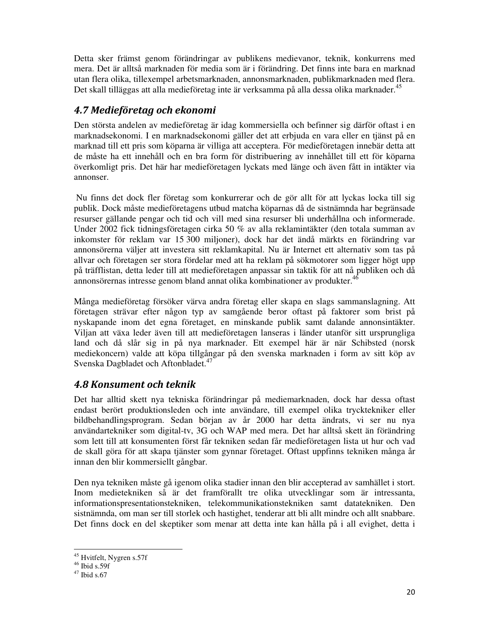Detta sker främst genom förändringar av publikens medievanor, teknik, konkurrens med mera. Det är alltså marknaden för media som är i förändring. Det finns inte bara en marknad utan flera olika, tillexempel arbetsmarknaden, annonsmarknaden, publikmarknaden med flera. Det skall tilläggas att alla medieföretag inte är verksamma på alla dessa olika marknader.<sup>45</sup>

## 4.7 Medieföretag och ekonomi

Den största andelen av medieföretag är idag kommersiella och befinner sig därför oftast i en marknadsekonomi. I en marknadsekonomi gäller det att erbjuda en vara eller en tjänst på en marknad till ett pris som köparna är villiga att acceptera. För medieföretagen innebär detta att de måste ha ett innehåll och en bra form för distribuering av innehållet till ett för köparna överkomligt pris. Det här har medieföretagen lyckats med länge och även fått in intäkter via annonser.

 Nu finns det dock fler företag som konkurrerar och de gör allt för att lyckas locka till sig publik. Dock måste medieföretagens utbud matcha köparnas då de sistnämnda har begränsade resurser gällande pengar och tid och vill med sina resurser bli underhållna och informerade. Under 2002 fick tidningsföretagen cirka 50 % av alla reklamintäkter (den totala summan av inkomster för reklam var 15 300 miljoner), dock har det ändå märkts en förändring var annonsörerna väljer att investera sitt reklamkapital. Nu är Internet ett alternativ som tas på allvar och företagen ser stora fördelar med att ha reklam på sökmotorer som ligger högt upp på träfflistan, detta leder till att medieföretagen anpassar sin taktik för att nå publiken och då annonsörernas intresse genom bland annat olika kombinationer av produkter.<sup>46</sup>

Många medieföretag försöker värva andra företag eller skapa en slags sammanslagning. Att företagen strävar efter någon typ av samgående beror oftast på faktorer som brist på nyskapande inom det egna företaget, en minskande publik samt dalande annonsintäkter. Viljan att växa leder även till att medieföretagen lanseras i länder utanför sitt ursprungliga land och då slår sig in på nya marknader. Ett exempel här är när Schibsted (norsk mediekoncern) valde att köpa tillgångar på den svenska marknaden i form av sitt köp av Svenska Dagbladet och Aftonbladet.<sup>47</sup>

## 4.8 Konsument och teknik

Det har alltid skett nya tekniska förändringar på mediemarknaden, dock har dessa oftast endast berört produktionsleden och inte användare, till exempel olika trycktekniker eller bildbehandlingsprogram. Sedan början av år 2000 har detta ändrats, vi ser nu nya användartekniker som digital-tv, 3G och WAP med mera. Det har alltså skett än förändring som lett till att konsumenten först får tekniken sedan får medieföretagen lista ut hur och vad de skall göra för att skapa tjänster som gynnar företaget. Oftast uppfinns tekniken många år innan den blir kommersiellt gångbar.

Den nya tekniken måste gå igenom olika stadier innan den blir accepterad av samhället i stort. Inom medietekniken så är det framförallt tre olika utvecklingar som är intressanta, informationspresentationstekniken, telekommunikationstekniken samt datatekniken. Den sistnämnda, om man ser till storlek och hastighet, tenderar att bli allt mindre och allt snabbare. Det finns dock en del skeptiker som menar att detta inte kan hålla på i all evighet, detta i

.

<sup>45</sup> Hvitfelt, Nygren s.57f

 $46$  Ibid s.59f

 $47$  Ibid s.67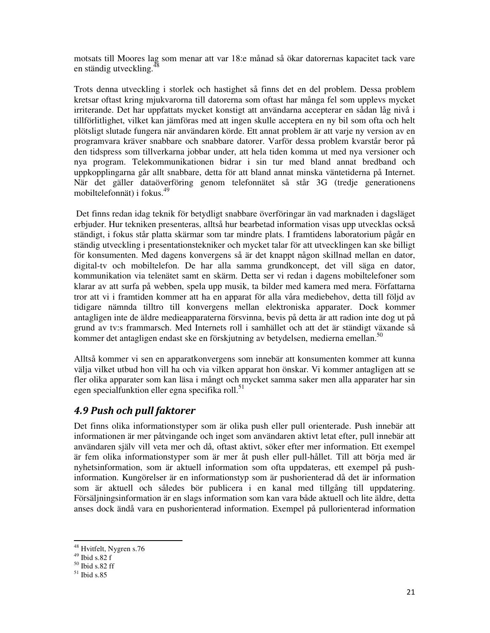motsats till Moores lag som menar att var 18:e månad så ökar datorernas kapacitet tack vare en ständig utveckling.<sup>4</sup>

Trots denna utveckling i storlek och hastighet så finns det en del problem. Dessa problem kretsar oftast kring mjukvarorna till datorerna som oftast har många fel som upplevs mycket irriterande. Det har uppfattats mycket konstigt att användarna accepterar en sådan låg nivå i tillförlitlighet, vilket kan jämföras med att ingen skulle acceptera en ny bil som ofta och helt plötsligt slutade fungera när användaren körde. Ett annat problem är att varje ny version av en programvara kräver snabbare och snabbare datorer. Varför dessa problem kvarstår beror på den tidspress som tillverkarna jobbar under, att hela tiden komma ut med nya versioner och nya program. Telekommunikationen bidrar i sin tur med bland annat bredband och uppkopplingarna går allt snabbare, detta för att bland annat minska väntetiderna på Internet. När det gäller dataöverföring genom telefonnätet så står 3G (tredje generationens mobiltelefonnät) i fokus.<sup>49</sup>

 Det finns redan idag teknik för betydligt snabbare överföringar än vad marknaden i dagsläget erbjuder. Hur tekniken presenteras, alltså hur bearbetad information visas upp utvecklas också ständigt, i fokus står platta skärmar som tar mindre plats. I framtidens laboratorium pågår en ständig utveckling i presentationstekniker och mycket talar för att utvecklingen kan ske billigt för konsumenten. Med dagens konvergens så är det knappt någon skillnad mellan en dator, digital-tv och mobiltelefon. De har alla samma grundkoncept, det vill säga en dator, kommunikation via telenätet samt en skärm. Detta ser vi redan i dagens mobiltelefoner som klarar av att surfa på webben, spela upp musik, ta bilder med kamera med mera. Författarna tror att vi i framtiden kommer att ha en apparat för alla våra mediebehov, detta till följd av tidigare nämnda tilltro till konvergens mellan elektroniska apparater. Dock kommer antagligen inte de äldre medieapparaterna försvinna, bevis på detta är att radion inte dog ut på grund av tv:s frammarsch. Med Internets roll i samhället och att det är ständigt växande så kommer det antagligen endast ske en förskjutning av betydelsen, medierna emellan.<sup>50</sup>

Alltså kommer vi sen en apparatkonvergens som innebär att konsumenten kommer att kunna välja vilket utbud hon vill ha och via vilken apparat hon önskar. Vi kommer antagligen att se fler olika apparater som kan läsa i mångt och mycket samma saker men alla apparater har sin egen specialfunktion eller egna specifika roll.<sup>51</sup>

## 4.9 Push och pull faktorer

Det finns olika informationstyper som är olika push eller pull orienterade. Push innebär att informationen är mer påtvingande och inget som användaren aktivt letat efter, pull innebär att användaren själv vill veta mer och då, oftast aktivt, söker efter mer information. Ett exempel är fem olika informationstyper som är mer åt push eller pull-hållet. Till att börja med är nyhetsinformation, som är aktuell information som ofta uppdateras, ett exempel på pushinformation. Kungörelser är en informationstyp som är pushorienterad då det är information som är aktuell och således bör publicera i en kanal med tillgång till uppdatering. Försäljningsinformation är en slags information som kan vara både aktuell och lite äldre, detta anses dock ändå vara en pushorienterad information. Exempel på pullorienterad information

<u>.</u>

<sup>&</sup>lt;sup>48</sup> Hvitfelt, Nygren s.76

<sup>49</sup> Ibid s.82 f

 $50$  Ibid s.82 ff

 $51$  Ibid s.85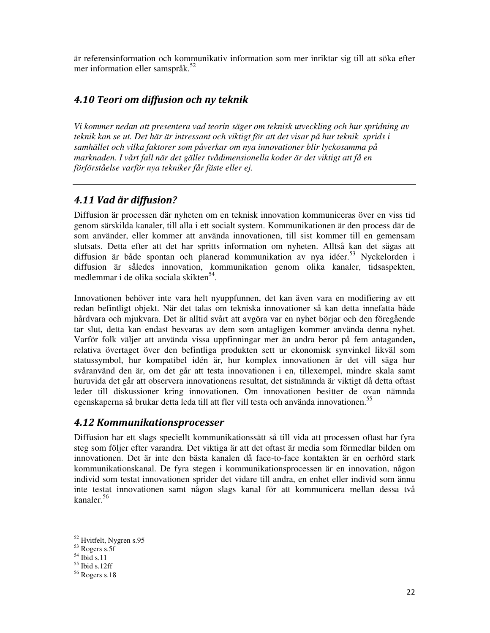är referensinformation och kommunikativ information som mer inriktar sig till att söka efter mer information eller samspråk.<sup>52</sup>

## 4.10 Teori om diffusion och ny teknik

*Vi kommer nedan att presentera vad teorin säger om teknisk utveckling och hur spridning av teknik kan se ut. Det här är intressant och viktigt för att det visar på hur teknik sprids i samhället och vilka faktorer som påverkar om nya innovationer blir lyckosamma på marknaden. I vårt fall när det gäller tvådimensionella koder är det viktigt att få en förförståelse varför nya tekniker får fäste eller ej.* 

## 4.11 Vad är diffusion?

Diffusion är processen där nyheten om en teknisk innovation kommuniceras över en viss tid genom särskilda kanaler, till alla i ett socialt system. Kommunikationen är den process där de som använder, eller kommer att använda innovationen, till sist kommer till en gemensam slutsats. Detta efter att det har spritts information om nyheten. Alltså kan det sägas att diffusion är både spontan och planerad kommunikation av nya idéer.<sup>53</sup> Nyckelorden i diffusion är således innovation, kommunikation genom olika kanaler, tidsaspekten, medlemmar i de olika sociala skikten<sup>54</sup>.

Innovationen behöver inte vara helt nyuppfunnen, det kan även vara en modifiering av ett redan befintligt objekt. När det talas om tekniska innovationer så kan detta innefatta både hårdvara och mjukvara. Det är alltid svårt att avgöra var en nyhet börjar och den föregående tar slut, detta kan endast besvaras av dem som antagligen kommer använda denna nyhet. Varför folk väljer att använda vissa uppfinningar mer än andra beror på fem antaganden**,**  relativa övertaget över den befintliga produkten sett ur ekonomisk synvinkel likväl som statussymbol, hur kompatibel idén är, hur komplex innovationen är det vill säga hur svåranvänd den är, om det går att testa innovationen i en, tillexempel, mindre skala samt huruvida det går att observera innovationens resultat, det sistnämnda är viktigt då detta oftast leder till diskussioner kring innovationen. Om innovationen besitter de ovan nämnda egenskaperna så brukar detta leda till att fler vill testa och använda innovationen.<sup>55</sup>

## 4.12 Kommunikationsprocesser

Diffusion har ett slags speciellt kommunikationssätt så till vida att processen oftast har fyra steg som följer efter varandra. Det viktiga är att det oftast är media som förmedlar bilden om innovationen. Det är inte den bästa kanalen då face-to-face kontakten är en oerhörd stark kommunikationskanal. De fyra stegen i kommunikationsprocessen är en innovation, någon individ som testat innovationen sprider det vidare till andra, en enhet eller individ som ännu inte testat innovationen samt någon slags kanal för att kommunicera mellan dessa två kanaler.<sup>56</sup>

<sup>52</sup> Hvitfelt, Nygren s.95

 $53$  Rogers s.5f

 $54$  Ibid s.11

 $55$  Ibid s.12ff

<sup>56</sup> Rogers s.18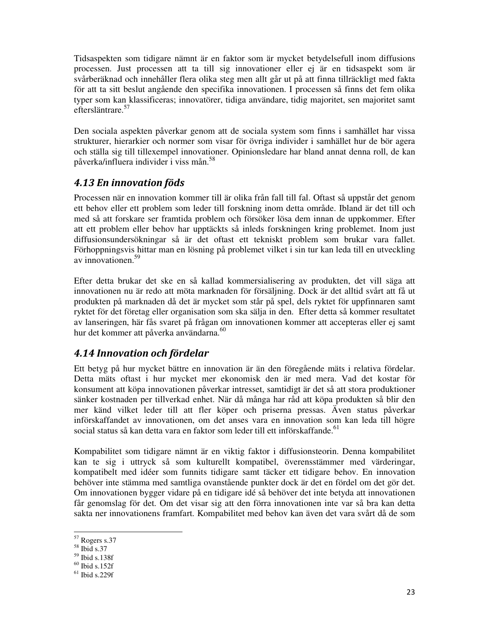Tidsaspekten som tidigare nämnt är en faktor som är mycket betydelsefull inom diffusions processen. Just processen att ta till sig innovationer eller ej är en tidsaspekt som är svårberäknad och innehåller flera olika steg men allt går ut på att finna tillräckligt med fakta för att ta sitt beslut angående den specifika innovationen. I processen så finns det fem olika typer som kan klassificeras; innovatörer, tidiga användare, tidig majoritet, sen majoritet samt eftersläntrare.<sup>57</sup>

Den sociala aspekten påverkar genom att de sociala system som finns i samhället har vissa strukturer, hierarkier och normer som visar för övriga individer i samhället hur de bör agera och ställa sig till tillexempel innovationer. Opinionsledare har bland annat denna roll, de kan påverka/influera individer i viss mån.<sup>58</sup>

## 4.13 En innovation föds

Processen när en innovation kommer till är olika från fall till fal. Oftast så uppstår det genom ett behov eller ett problem som leder till forskning inom detta område. Ibland är det till och med så att forskare ser framtida problem och försöker lösa dem innan de uppkommer. Efter att ett problem eller behov har upptäckts så inleds forskningen kring problemet. Inom just diffusionsundersökningar så är det oftast ett tekniskt problem som brukar vara fallet. Förhoppningsvis hittar man en lösning på problemet vilket i sin tur kan leda till en utveckling av innovationen.<sup>59</sup>

Efter detta brukar det ske en så kallad kommersialisering av produkten, det vill säga att innovationen nu är redo att möta marknaden för försäljning. Dock är det alltid svårt att få ut produkten på marknaden då det är mycket som står på spel, dels ryktet för uppfinnaren samt ryktet för det företag eller organisation som ska sälja in den. Efter detta så kommer resultatet av lanseringen, här fås svaret på frågan om innovationen kommer att accepteras eller ej samt hur det kommer att påverka användarna.<sup>60</sup>

## 4.14 Innovation och fördelar

Ett betyg på hur mycket bättre en innovation är än den föregående mäts i relativa fördelar. Detta mäts oftast i hur mycket mer ekonomisk den är med mera. Vad det kostar för konsument att köpa innovationen påverkar intresset, samtidigt är det så att stora produktioner sänker kostnaden per tillverkad enhet. När då många har råd att köpa produkten så blir den mer känd vilket leder till att fler köper och priserna pressas. Även status påverkar införskaffandet av innovationen, om det anses vara en innovation som kan leda till högre social status så kan detta vara en faktor som leder till ett införskaffande. <sup>61</sup>

Kompabilitet som tidigare nämnt är en viktig faktor i diffusionsteorin. Denna kompabilitet kan te sig i uttryck så som kulturellt kompatibel, överensstämmer med värderingar, kompatibelt med idéer som funnits tidigare samt täcker ett tidigare behov. En innovation behöver inte stämma med samtliga ovanstående punkter dock är det en fördel om det gör det. Om innovationen bygger vidare på en tidigare idé så behöver det inte betyda att innovationen får genomslag för det. Om det visar sig att den förra innovationen inte var så bra kan detta sakta ner innovationens framfart. Kompabilitet med behov kan även det vara svårt då de som

<sup>57</sup> Rogers s.37

<sup>58</sup> Ibid s.37

<sup>59</sup> Ibid s.138f

 $60$  Ibid s.152f

 $61$  Ibid s. 229f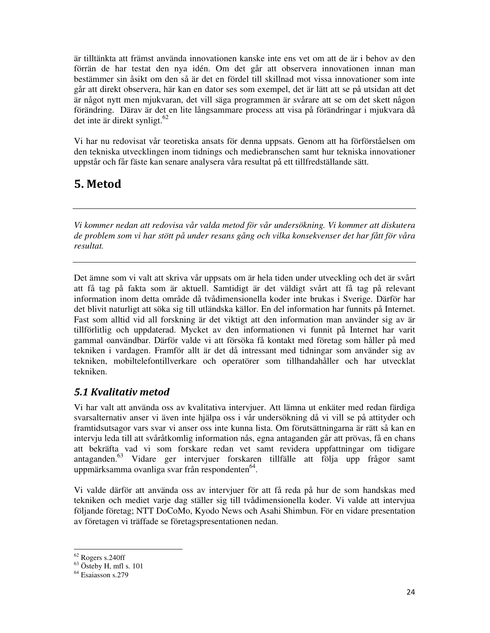är tilltänkta att främst använda innovationen kanske inte ens vet om att de är i behov av den förrän de har testat den nya idén. Om det går att observera innovationen innan man bestämmer sin åsikt om den så är det en fördel till skillnad mot vissa innovationer som inte går att direkt observera, här kan en dator ses som exempel, det är lätt att se på utsidan att det är något nytt men mjukvaran, det vill säga programmen är svårare att se om det skett någon förändring. Därav är det en lite långsammare process att visa på förändringar i mjukvara då det inte är direkt synligt. $62$ 

Vi har nu redovisat vår teoretiska ansats för denna uppsats. Genom att ha förförståelsen om den tekniska utvecklingen inom tidnings och mediebranschen samt hur tekniska innovationer uppstår och får fäste kan senare analysera våra resultat på ett tillfredställande sätt.

## 5. Metod

*Vi kommer nedan att redovisa vår valda metod för vår undersökning. Vi kommer att diskutera de problem som vi har stött på under resans gång och vilka konsekvenser det har fått för våra resultat.* 

Det ämne som vi valt att skriva vår uppsats om är hela tiden under utveckling och det är svårt att få tag på fakta som är aktuell. Samtidigt är det väldigt svårt att få tag på relevant information inom detta område då tvådimensionella koder inte brukas i Sverige. Därför har det blivit naturligt att söka sig till utländska källor. En del information har funnits på Internet. Fast som alltid vid all forskning är det viktigt att den information man använder sig av är tillförlitlig och uppdaterad. Mycket av den informationen vi funnit på Internet har varit gammal oanvändbar. Därför valde vi att försöka få kontakt med företag som håller på med tekniken i vardagen. Framför allt är det då intressant med tidningar som använder sig av tekniken, mobiltelefontillverkare och operatörer som tillhandahåller och har utvecklat tekniken.

## 5.1 Kvalitativ metod

Vi har valt att använda oss av kvalitativa intervjuer. Att lämna ut enkäter med redan färdiga svarsalternativ anser vi även inte hjälpa oss i vår undersökning då vi vill se på attityder och framtidsutsagor vars svar vi anser oss inte kunna lista. Om förutsättningarna är rätt så kan en intervju leda till att svåråtkomlig information nås, egna antaganden går att prövas, få en chans att bekräfta vad vi som forskare redan vet samt revidera uppfattningar om tidigare antaganden.<sup>63</sup> Vidare ger intervjuer forskaren tillfälle att följa upp frågor samt uppmärksamma ovanliga svar från respondenten<sup>64</sup>.

Vi valde därför att använda oss av intervjuer för att få reda på hur de som handskas med tekniken och mediet varje dag ställer sig till tvådimensionella koder. Vi valde att intervjua följande företag; NTT DoCoMo, Kyodo News och Asahi Shimbun. För en vidare presentation av företagen vi träffade se företagspresentationen nedan.

.

 $62$  Rogers s.240ff

 $63$  Östeby H, mfl s. 101

<sup>&</sup>lt;sup>64</sup> Esaiasson s.279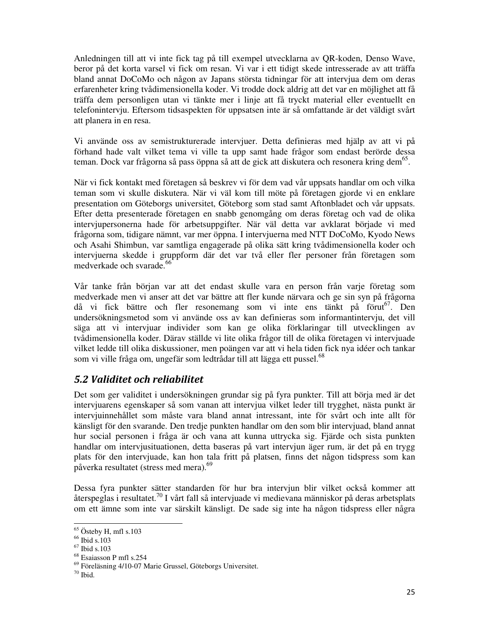Anledningen till att vi inte fick tag på till exempel utvecklarna av QR-koden, Denso Wave, beror på det korta varsel vi fick om resan. Vi var i ett tidigt skede intresserade av att träffa bland annat DoCoMo och någon av Japans största tidningar för att intervjua dem om deras erfarenheter kring tvådimensionella koder. Vi trodde dock aldrig att det var en möjlighet att få träffa dem personligen utan vi tänkte mer i linje att få tryckt material eller eventuellt en telefonintervju. Eftersom tidsaspekten för uppsatsen inte är så omfattande är det väldigt svårt att planera in en resa.

Vi använde oss av semistrukturerade intervjuer. Detta definieras med hjälp av att vi på förhand hade valt vilket tema vi ville ta upp samt hade frågor som endast berörde dessa teman. Dock var frågorna så pass öppna så att de gick att diskutera och resonera kring dem $^{65}$ .

När vi fick kontakt med företagen så beskrev vi för dem vad vår uppsats handlar om och vilka teman som vi skulle diskutera. När vi väl kom till möte på företagen gjorde vi en enklare presentation om Göteborgs universitet, Göteborg som stad samt Aftonbladet och vår uppsats. Efter detta presenterade företagen en snabb genomgång om deras företag och vad de olika intervjupersonerna hade för arbetsuppgifter. När väl detta var avklarat började vi med frågorna som, tidigare nämnt, var mer öppna. I intervjuerna med NTT DoCoMo, Kyodo News och Asahi Shimbun, var samtliga engagerade på olika sätt kring tvådimensionella koder och intervjuerna skedde i gruppform där det var två eller fler personer från företagen som medverkade och svarade.<sup>66</sup>

Vår tanke från början var att det endast skulle vara en person från varje företag som medverkade men vi anser att det var bättre att fler kunde närvara och ge sin syn på frågorna då vi fick bättre och fler resonemang som vi inte ens tänkt på förut<sup>67</sup>. Den undersökningsmetod som vi använde oss av kan definieras som informantintervju, det vill säga att vi intervjuar individer som kan ge olika förklaringar till utvecklingen av tvådimensionella koder. Därav ställde vi lite olika frågor till de olika företagen vi intervjuade vilket ledde till olika diskussioner, men poängen var att vi hela tiden fick nya idéer och tankar som vi ville fråga om, ungefär som ledtrådar till att lägga ett pussel.<sup>68</sup>

## 5.2 Validitet och reliabilitet

Det som ger validitet i undersökningen grundar sig på fyra punkter. Till att börja med är det intervjuarens egenskaper så som vanan att intervjua vilket leder till trygghet, nästa punkt är intervjuinnehållet som måste vara bland annat intressant, inte för svårt och inte allt för känsligt för den svarande. Den tredje punkten handlar om den som blir intervjuad, bland annat hur social personen i fråga är och vana att kunna uttrycka sig. Fjärde och sista punkten handlar om intervjusituationen, detta baseras på vart intervjun äger rum, är det på en trygg plats för den intervjuade, kan hon tala fritt på platsen, finns det någon tidspress som kan påverka resultatet (stress med mera).<sup>69</sup>

Dessa fyra punkter sätter standarden för hur bra intervjun blir vilket också kommer att återspeglas i resultatet.<sup>70</sup> I vårt fall så intervjuade vi medievana människor på deras arbetsplats om ett ämne som inte var särskilt känsligt. De sade sig inte ha någon tidspress eller några

.

<sup>65</sup> Östeby H, mfl s.103

<sup>66</sup> Ibid s.103

<sup>67</sup> Ibid s.103

<sup>68</sup> Esaiasson P mfl s.254

<sup>69</sup> Föreläsning 4/10-07 Marie Grussel, Göteborgs Universitet.

 $70$  Ibid.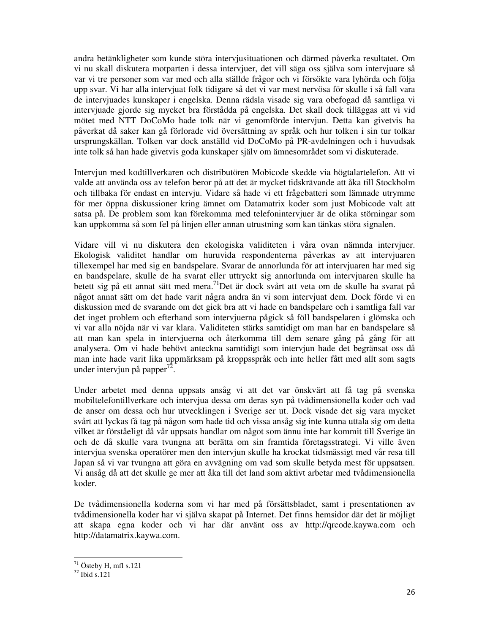andra betänkligheter som kunde störa intervjusituationen och därmed påverka resultatet. Om vi nu skall diskutera motparten i dessa intervjuer, det vill säga oss själva som intervjuare så var vi tre personer som var med och alla ställde frågor och vi försökte vara lyhörda och följa upp svar. Vi har alla intervjuat folk tidigare så det vi var mest nervösa för skulle i så fall vara de intervjuades kunskaper i engelska. Denna rädsla visade sig vara obefogad då samtliga vi intervjuade gjorde sig mycket bra förstådda på engelska. Det skall dock tilläggas att vi vid mötet med NTT DoCoMo hade tolk när vi genomförde intervjun. Detta kan givetvis ha påverkat då saker kan gå förlorade vid översättning av språk och hur tolken i sin tur tolkar ursprungskällan. Tolken var dock anställd vid DoCoMo på PR-avdelningen och i huvudsak inte tolk så han hade givetvis goda kunskaper själv om ämnesområdet som vi diskuterade.

Intervjun med kodtillverkaren och distributören Mobicode skedde via högtalartelefon. Att vi valde att använda oss av telefon beror på att det är mycket tidskrävande att åka till Stockholm och tillbaka för endast en intervju. Vidare så hade vi ett frågebatteri som lämnade utrymme för mer öppna diskussioner kring ämnet om Datamatrix koder som just Mobicode valt att satsa på. De problem som kan förekomma med telefonintervjuer är de olika störningar som kan uppkomma så som fel på linjen eller annan utrustning som kan tänkas störa signalen.

Vidare vill vi nu diskutera den ekologiska validiteten i våra ovan nämnda intervjuer. Ekologisk validitet handlar om huruvida respondenterna påverkas av att intervjuaren tillexempel har med sig en bandspelare. Svarar de annorlunda för att intervjuaren har med sig en bandspelare, skulle de ha svarat eller uttryckt sig annorlunda om intervjuaren skulle ha betett sig på ett annat sätt med mera.<sup>71</sup>Det är dock svårt att veta om de skulle ha svarat på något annat sätt om det hade varit några andra än vi som intervjuat dem. Dock förde vi en diskussion med de svarande om det gick bra att vi hade en bandspelare och i samtliga fall var det inget problem och efterhand som intervjuerna pågick så föll bandspelaren i glömska och vi var alla nöjda när vi var klara. Validiteten stärks samtidigt om man har en bandspelare så att man kan spela in intervjuerna och återkomma till dem senare gång på gång för att analysera. Om vi hade behövt anteckna samtidigt som intervjun hade det begränsat oss då man inte hade varit lika uppmärksam på kroppsspråk och inte heller fått med allt som sagts under intervjun på papper<sup>72</sup>.

Under arbetet med denna uppsats ansåg vi att det var önskvärt att få tag på svenska mobiltelefontillverkare och intervjua dessa om deras syn på tvådimensionella koder och vad de anser om dessa och hur utvecklingen i Sverige ser ut. Dock visade det sig vara mycket svårt att lyckas få tag på någon som hade tid och vissa ansåg sig inte kunna uttala sig om detta vilket är förståeligt då vår uppsats handlar om något som ännu inte har kommit till Sverige än och de då skulle vara tvungna att berätta om sin framtida företagsstrategi. Vi ville även intervjua svenska operatörer men den intervjun skulle ha krockat tidsmässigt med vår resa till Japan så vi var tvungna att göra en avvägning om vad som skulle betyda mest för uppsatsen. Vi ansåg då att det skulle ge mer att åka till det land som aktivt arbetar med tvådimensionella koder.

De tvådimensionella koderna som vi har med på försättsbladet, samt i presentationen av tvådimensionella koder har vi själva skapat på Internet. Det finns hemsidor där det är möjligt att skapa egna koder och vi har där använt oss av http://qrcode.kaywa.com och http://datamatrix.kaywa.com.

<u>.</u>

<sup>71</sup> Östeby H, mfl s.121

 $72$  Ibid s.121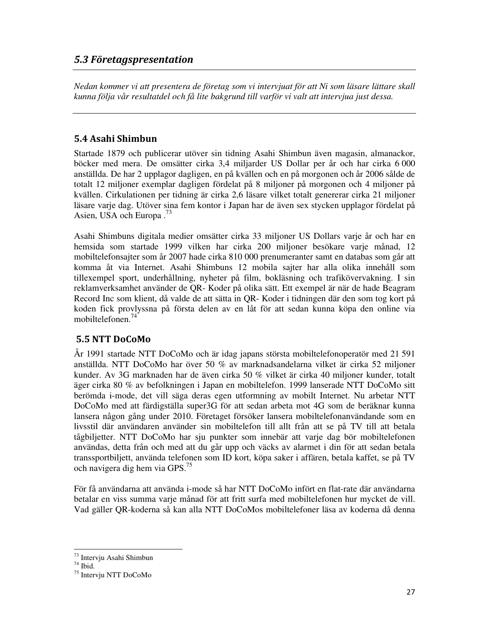#### 5.3 Företagspresentation

*Nedan kommer vi att presentera de företag som vi intervjuat för att Ni som läsare lättare skall kunna följa vår resultatdel och få lite bakgrund till varför vi valt att intervjua just dessa.* 

#### 5.4 Asahi Shimbun

Startade 1879 och publicerar utöver sin tidning Asahi Shimbun även magasin, almanackor, böcker med mera. De omsätter cirka 3,4 miljarder US Dollar per år och har cirka 6 000 anställda. De har 2 upplagor dagligen, en på kvällen och en på morgonen och år 2006 sålde de totalt 12 miljoner exemplar dagligen fördelat på 8 miljoner på morgonen och 4 miljoner på kvällen. Cirkulationen per tidning är cirka 2,6 läsare vilket totalt genererar cirka 21 miljoner läsare varje dag. Utöver sina fem kontor i Japan har de även sex stycken upplagor fördelat på Asien, USA och Europa .<sup>73</sup>

Asahi Shimbuns digitala medier omsätter cirka 33 miljoner US Dollars varje år och har en hemsida som startade 1999 vilken har cirka 200 miljoner besökare varje månad, 12 mobiltelefonsajter som år 2007 hade cirka 810 000 prenumeranter samt en databas som går att komma åt via Internet. Asahi Shimbuns 12 mobila sajter har alla olika innehåll som tillexempel sport, underhållning, nyheter på film, bokläsning och trafikövervakning. I sin reklamverksamhet använder de QR- Koder på olika sätt. Ett exempel är när de hade Beagram Record Inc som klient, då valde de att sätta in QR- Koder i tidningen där den som tog kort på koden fick provlyssna på första delen av en låt för att sedan kunna köpa den online via mobiltelefonen<sup>74</sup>

## 5.5 NTT DoCoMo

År 1991 startade NTT DoCoMo och är idag japans största mobiltelefonoperatör med 21 591 anställda. NTT DoCoMo har över 50 % av marknadsandelarna vilket är cirka 52 miljoner kunder. Av 3G marknaden har de även cirka 50 % vilket är cirka 40 miljoner kunder, totalt äger cirka 80 % av befolkningen i Japan en mobiltelefon. 1999 lanserade NTT DoCoMo sitt berömda i-mode, det vill säga deras egen utformning av mobilt Internet. Nu arbetar NTT DoCoMo med att färdigställa super3G för att sedan arbeta mot 4G som de beräknar kunna lansera någon gång under 2010. Företaget försöker lansera mobiltelefonanvändande som en livsstil där användaren använder sin mobiltelefon till allt från att se på TV till att betala tågbiljetter. NTT DoCoMo har sju punkter som innebär att varje dag bör mobiltelefonen användas, detta från och med att du går upp och väcks av alarmet i din för att sedan betala transsportbiljett, använda telefonen som ID kort, köpa saker i affären, betala kaffet, se på TV och navigera dig hem via GPS.<sup>75</sup>

För få användarna att använda i-mode så har NTT DoCoMo infört en flat-rate där användarna betalar en viss summa varje månad för att fritt surfa med mobiltelefonen hur mycket de vill. Vad gäller QR-koderna så kan alla NTT DoCoMos mobiltelefoner läsa av koderna då denna

.

<sup>73</sup> Intervju Asahi Shimbun

 $74$  Ibid.

<sup>75</sup> Intervju NTT DoCoMo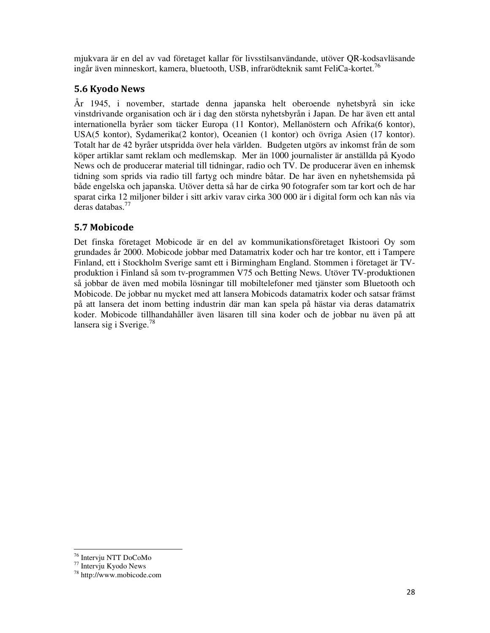mjukvara är en del av vad företaget kallar för livsstilsanvändande, utöver QR-kodsavläsande ingår även minneskort, kamera, bluetooth, USB, infrarödteknik samt FeliCa-kortet.<sup>76</sup>

### 5.6 Kyodo News

År 1945, i november, startade denna japanska helt oberoende nyhetsbyrå sin icke vinstdrivande organisation och är i dag den största nyhetsbyrån i Japan. De har även ett antal internationella byråer som täcker Europa (11 Kontor), Mellanöstern och Afrika(6 kontor), USA(5 kontor), Sydamerika(2 kontor), Oceanien (1 kontor) och övriga Asien (17 kontor). Totalt har de 42 byråer utspridda över hela världen. Budgeten utgörs av inkomst från de som köper artiklar samt reklam och medlemskap. Mer än 1000 journalister är anställda på Kyodo News och de producerar material till tidningar, radio och TV. De producerar även en inhemsk tidning som sprids via radio till fartyg och mindre båtar. De har även en nyhetshemsida på både engelska och japanska. Utöver detta så har de cirka 90 fotografer som tar kort och de har sparat cirka 12 miljoner bilder i sitt arkiv varav cirka 300 000 är i digital form och kan nås via deras databas.<sup>77</sup>

## 5.7 Mobicode

Det finska företaget Mobicode är en del av kommunikationsföretaget Ikistoori Oy som grundades år 2000. Mobicode jobbar med Datamatrix koder och har tre kontor, ett i Tampere Finland, ett i Stockholm Sverige samt ett i Birmingham England. Stommen i företaget är TVproduktion i Finland så som tv-programmen V75 och Betting News. Utöver TV-produktionen så jobbar de även med mobila lösningar till mobiltelefoner med tjänster som Bluetooth och Mobicode. De jobbar nu mycket med att lansera Mobicods datamatrix koder och satsar främst på att lansera det inom betting industrin där man kan spela på hästar via deras datamatrix koder. Mobicode tillhandahåller även läsaren till sina koder och de jobbar nu även på att lansera sig i Sverige. $^{78}$ 

.

<sup>76</sup> Intervju NTT DoCoMo

<sup>77</sup> Intervju Kyodo News

<sup>78</sup> http://www.mobicode.com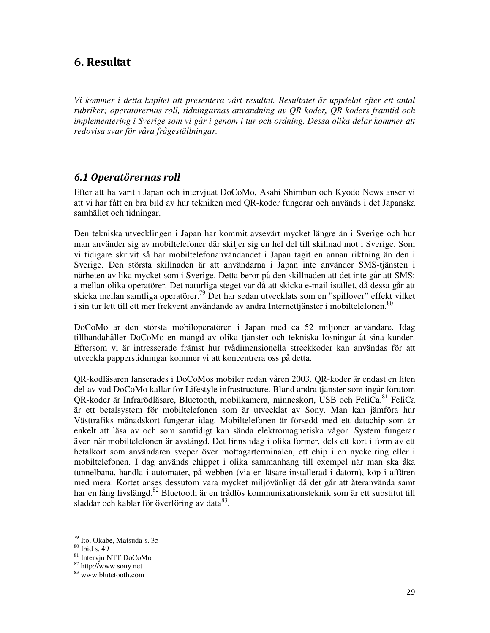## 6. Resultat

*Vi kommer i detta kapitel att presentera vårt resultat. Resultatet är uppdelat efter ett antal rubriker; operatörernas roll, tidningarnas användning av QR-koder, QR-koders framtid och implementering i Sverige som vi går i genom i tur och ordning. Dessa olika delar kommer att redovisa svar för våra frågeställningar.* 

### 6.1 Operatörernas roll

Efter att ha varit i Japan och intervjuat DoCoMo, Asahi Shimbun och Kyodo News anser vi att vi har fått en bra bild av hur tekniken med QR-koder fungerar och används i det Japanska samhället och tidningar.

Den tekniska utvecklingen i Japan har kommit avsevärt mycket längre än i Sverige och hur man använder sig av mobiltelefoner där skiljer sig en hel del till skillnad mot i Sverige. Som vi tidigare skrivit så har mobiltelefonanvändandet i Japan tagit en annan riktning än den i Sverige. Den största skillnaden är att användarna i Japan inte använder SMS-tjänsten i närheten av lika mycket som i Sverige. Detta beror på den skillnaden att det inte går att SMS: a mellan olika operatörer. Det naturliga steget var då att skicka e-mail istället, då dessa går att skicka mellan samtliga operatörer.<sup>79</sup> Det har sedan utvecklats som en "spillover" effekt vilket i sin tur lett till ett mer frekvent användande av andra Internettjänster i mobiltelefonen.<sup>80</sup>

DoCoMo är den största mobiloperatören i Japan med ca 52 miljoner användare. Idag tillhandahåller DoCoMo en mängd av olika tjänster och tekniska lösningar åt sina kunder. Eftersom vi är intresserade främst hur tvådimensionella streckkoder kan användas för att utveckla papperstidningar kommer vi att koncentrera oss på detta.

QR-kodläsaren lanserades i DoCoMos mobiler redan våren 2003. QR-koder är endast en liten del av vad DoCoMo kallar för Lifestyle infrastructure. Bland andra tjänster som ingår förutom QR-koder är Infrarödläsare, Bluetooth, mobilkamera, minneskort, USB och FeliCa.<sup>81</sup> FeliCa är ett betalsystem för mobiltelefonen som är utvecklat av Sony. Man kan jämföra hur Västtrafiks månadskort fungerar idag. Mobiltelefonen är försedd med ett datachip som är enkelt att läsa av och som samtidigt kan sända elektromagnetiska vågor. System fungerar även när mobiltelefonen är avstängd. Det finns idag i olika former, dels ett kort i form av ett betalkort som användaren sveper över mottagarterminalen, ett chip i en nyckelring eller i mobiltelefonen. I dag används chippet i olika sammanhang till exempel när man ska åka tunnelbana, handla i automater, på webben (via en läsare installerad i datorn), köp i affären med mera. Kortet anses dessutom vara mycket miljövänligt då det går att återanvända samt har en lång livslängd.<sup>82</sup> Bluetooth är en trådlös kommunikationsteknik som är ett substitut till sladdar och kablar för överföring av data<sup>83</sup>.

<sup>79</sup> Ito, Okabe, Matsuda s. 35

<sup>80</sup> Ibid s. 49

<sup>81</sup> Intervju NTT DoCoMo

<sup>82</sup> http://www.sony.net

<sup>83</sup> www.blutetooth.com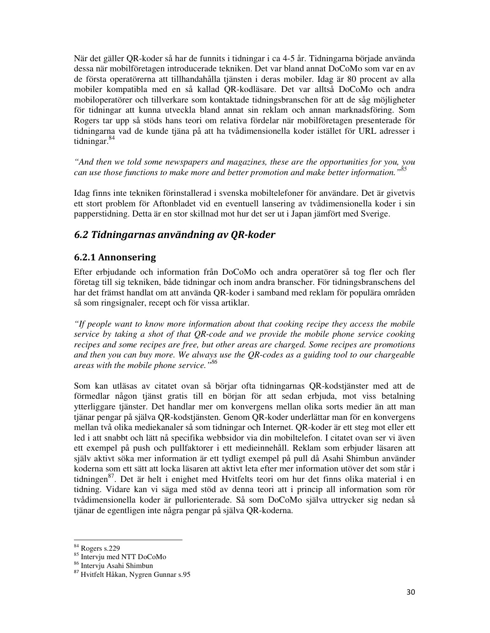När det gäller QR-koder så har de funnits i tidningar i ca 4-5 år. Tidningarna började använda dessa när mobilföretagen introducerade tekniken. Det var bland annat DoCoMo som var en av de första operatörerna att tillhandahålla tjänsten i deras mobiler. Idag är 80 procent av alla mobiler kompatibla med en så kallad QR-kodläsare. Det var alltså DoCoMo och andra mobiloperatörer och tillverkare som kontaktade tidningsbranschen för att de såg möjligheter för tidningar att kunna utveckla bland annat sin reklam och annan marknadsföring. Som Rogers tar upp så stöds hans teori om relativa fördelar när mobilföretagen presenterade för tidningarna vad de kunde tjäna på att ha tvådimensionella koder istället för URL adresser i tidningar.<sup>84</sup>

*"And then we told some newspapers and magazines, these are the opportunities for you, you can use those functions to make more and better promotion and make better information."<sup>85</sup>*

Idag finns inte tekniken förinstallerad i svenska mobiltelefoner för användare. Det är givetvis ett stort problem för Aftonbladet vid en eventuell lansering av tvådimensionella koder i sin papperstidning. Detta är en stor skillnad mot hur det ser ut i Japan jämfört med Sverige.

## 6.2 Tidningarnas användning av QR-koder

#### 6.2.1 Annonsering

Efter erbjudande och information från DoCoMo och andra operatörer så tog fler och fler företag till sig tekniken, både tidningar och inom andra branscher. För tidningsbranschens del har det främst handlat om att använda QR-koder i samband med reklam för populära områden så som ringsignaler, recept och för vissa artiklar.

*"If people want to know more information about that cooking recipe they access the mobile service by taking a shot of that QR-code and we provide the mobile phone service cooking recipes and some recipes are free, but other areas are charged. Some recipes are promotions and then you can buy more. We always use the QR-codes as a guiding tool to our chargeable areas with the mobile phone service."<sup>86</sup>*

Som kan utläsas av citatet ovan så börjar ofta tidningarnas QR-kodstjänster med att de förmedlar någon tjänst gratis till en början för att sedan erbjuda, mot viss betalning ytterliggare tjänster. Det handlar mer om konvergens mellan olika sorts medier än att man tjänar pengar på själva QR-kodstjänsten. Genom QR-koder underlättar man för en konvergens mellan två olika mediekanaler så som tidningar och Internet. QR-koder är ett steg mot eller ett led i att snabbt och lätt nå specifika webbsidor via din mobiltelefon. I citatet ovan ser vi även ett exempel på push och pullfaktorer i ett medieinnehåll. Reklam som erbjuder läsaren att själv aktivt söka mer information är ett tydligt exempel på pull då Asahi Shimbun använder koderna som ett sätt att locka läsaren att aktivt leta efter mer information utöver det som står i tidningen<sup>87</sup>. Det är helt i enighet med Hvitfelts teori om hur det finns olika material i en tidning. Vidare kan vi säga med stöd av denna teori att i princip all information som rör tvådimensionella koder är pullorienterade. Så som DoCoMo själva uttrycker sig nedan så tjänar de egentligen inte några pengar på själva QR-koderna.

<sup>84</sup> Rogers s.229

<sup>85</sup> Intervju med NTT DoCoMo

<sup>86</sup> Intervju Asahi Shimbun

<sup>&</sup>lt;sup>87</sup> Hvitfelt Håkan, Nygren Gunnar s.95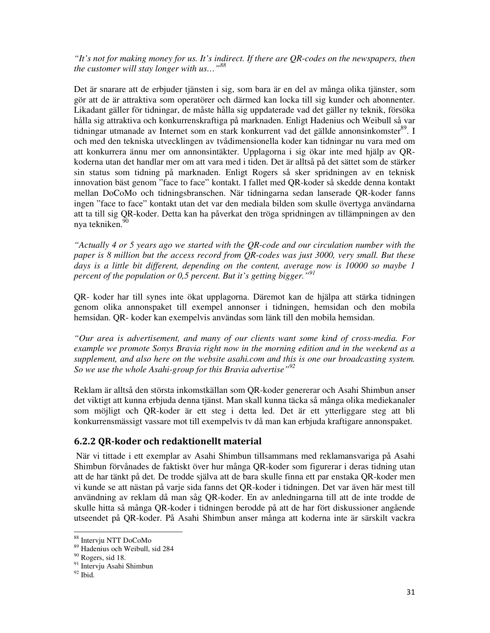*"It's not for making money for us. It's indirect. If there are QR-codes on the newspapers, then the customer will stay longer with us…"<sup>88</sup>* 

Det är snarare att de erbjuder tjänsten i sig, som bara är en del av många olika tjänster, som gör att de är attraktiva som operatörer och därmed kan locka till sig kunder och abonnenter. Likadant gäller för tidningar, de måste hålla sig uppdaterade vad det gäller ny teknik, försöka hålla sig attraktiva och konkurrenskraftiga på marknaden. Enligt Hadenius och Weibull så var tidningar utmanade av Internet som en stark konkurrent vad det gällde annonsinkomster<sup>89</sup>. I och med den tekniska utvecklingen av tvådimensionella koder kan tidningar nu vara med om att konkurrera ännu mer om annonsintäkter. Upplagorna i sig ökar inte med hjälp av QRkoderna utan det handlar mer om att vara med i tiden. Det är alltså på det sättet som de stärker sin status som tidning på marknaden. Enligt Rogers så sker spridningen av en teknisk innovation bäst genom "face to face" kontakt. I fallet med QR-koder så skedde denna kontakt mellan DoCoMo och tidningsbranschen. När tidningarna sedan lanserade QR-koder fanns ingen "face to face" kontakt utan det var den mediala bilden som skulle övertyga användarna att ta till sig QR-koder. Detta kan ha påverkat den tröga spridningen av tillämpningen av den nya tekniken.<sup>9</sup>

*"Actually 4 or 5 years ago we started with the QR-code and our circulation number with the paper is 8 million but the access record from QR-codes was just 3000, very small. But these days is a little bit different, depending on the content, average now is 10000 so maybe 1 percent of the population or 0,5 percent. But it's getting bigger." 91*

QR- koder har till synes inte ökat upplagorna. Däremot kan de hjälpa att stärka tidningen genom olika annonspaket till exempel annonser i tidningen, hemsidan och den mobila hemsidan. QR- koder kan exempelvis användas som länk till den mobila hemsidan.

*"Our area is advertisement, and many of our clients want some kind of cross-media. For example we promote Sonys Bravia right now in the morning edition and in the weekend as a supplement, and also here on the website asahi.com and this is one our broadcasting system. So we use the whole Asahi-group for this Bravia advertise"<sup>92</sup>*

Reklam är alltså den största inkomstkällan som QR-koder genererar och Asahi Shimbun anser det viktigt att kunna erbjuda denna tjänst. Man skall kunna täcka så många olika mediekanaler som möjligt och QR-koder är ett steg i detta led. Det är ett ytterliggare steg att bli konkurrensmässigt vassare mot till exempelvis tv då man kan erbjuda kraftigare annonspaket.

#### 6.2.2 QR-koder och redaktionellt material

 När vi tittade i ett exemplar av Asahi Shimbun tillsammans med reklamansvariga på Asahi Shimbun förvånades de faktiskt över hur många QR-koder som figurerar i deras tidning utan att de har tänkt på det. De trodde själva att de bara skulle finna ett par enstaka QR-koder men vi kunde se att nästan på varje sida fanns det QR-koder i tidningen. Det var även här mest till användning av reklam då man såg QR-koder. En av anledningarna till att de inte trodde de skulle hitta så många QR-koder i tidningen berodde på att de har fört diskussioner angående utseendet på QR-koder. På Asahi Shimbun anser många att koderna inte är särskilt vackra

<sup>88</sup> Intervju NTT DoCoMo

<sup>89</sup> Hadenius och Weibull, sid 284

<sup>90</sup> Rogers, sid 18.

<sup>&</sup>lt;sup>91</sup> Intervju Asahi Shimbun

 $92$  Ibid.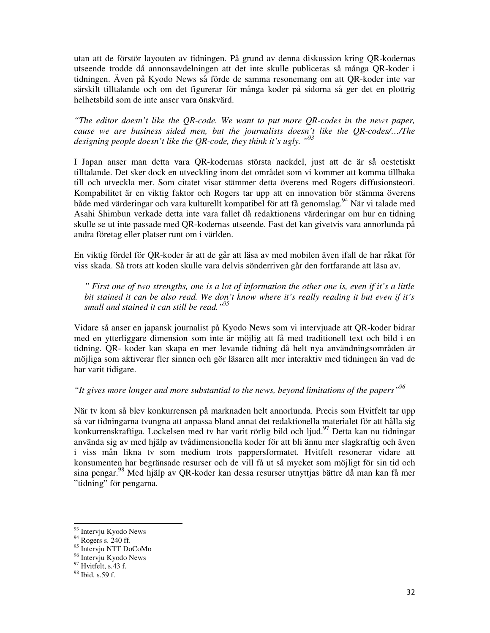utan att de förstör layouten av tidningen. På grund av denna diskussion kring QR-kodernas utseende trodde då annonsavdelningen att det inte skulle publiceras så många QR-koder i tidningen. Även på Kyodo News så förde de samma resonemang om att QR-koder inte var särskilt tilltalande och om det figurerar för många koder på sidorna så ger det en plottrig helhetsbild som de inte anser vara önskvärd.

*"The editor doesn't like the QR-code. We want to put more QR-codes in the news paper, cause we are business sided men, but the journalists doesn't like the QR-codes/…/The designing people doesn't like the QR-code, they think it's ugly. " 93*

I Japan anser man detta vara QR-kodernas största nackdel, just att de är så oestetiskt tilltalande. Det sker dock en utveckling inom det området som vi kommer att komma tillbaka till och utveckla mer. Som citatet visar stämmer detta överens med Rogers diffusionsteori. Kompabilitet är en viktig faktor och Rogers tar upp att en innovation bör stämma överens både med värderingar och vara kulturellt kompatibel för att få genomslag.<sup>94</sup> När vi talade med Asahi Shimbun verkade detta inte vara fallet då redaktionens värderingar om hur en tidning skulle se ut inte passade med QR-kodernas utseende. Fast det kan givetvis vara annorlunda på andra företag eller platser runt om i världen.

En viktig fördel för QR-koder är att de går att läsa av med mobilen även ifall de har råkat för viss skada. Så trots att koden skulle vara delvis sönderriven går den fortfarande att läsa av.

*" First one of two strengths, one is a lot of information the other one is, even if it's a little bit stained it can be also read. We don't know where it's really reading it but even if it's small and stained it can still be read."<sup>95</sup>*

Vidare så anser en japansk journalist på Kyodo News som vi intervjuade att QR-koder bidrar med en ytterliggare dimension som inte är möjlig att få med traditionell text och bild i en tidning. QR- koder kan skapa en mer levande tidning då helt nya användningsområden är möjliga som aktiverar fler sinnen och gör läsaren allt mer interaktiv med tidningen än vad de har varit tidigare.

#### *"It gives more longer and more substantial to the news, beyond limitations of the papers"<sup>96</sup>*

När tv kom så blev konkurrensen på marknaden helt annorlunda. Precis som Hvitfelt tar upp så var tidningarna tvungna att anpassa bland annat det redaktionella materialet för att hålla sig konkurrenskraftiga. Lockelsen med tv har varit rörlig bild och ljud.<sup>97</sup> Detta kan nu tidningar använda sig av med hjälp av tvådimensionella koder för att bli ännu mer slagkraftig och även i viss mån likna tv som medium trots pappersformatet. Hvitfelt resonerar vidare att konsumenten har begränsade resurser och de vill få ut så mycket som möjligt för sin tid och sina pengar.<sup>98</sup> Med hjälp av QR-koder kan dessa resurser utnyttjas bättre då man kan få mer "tidning" för pengarna.

.

<sup>93</sup> Intervju Kyodo News

<sup>&</sup>lt;sup>94</sup> Rogers s. 240 ff.

<sup>95</sup> Intervju NTT DoCoMo

<sup>96</sup> Intervju Kyodo News

<sup>&</sup>lt;sup>97</sup> Hvitfelt, s.43 f.

<sup>98</sup> Ibid. s.59 f.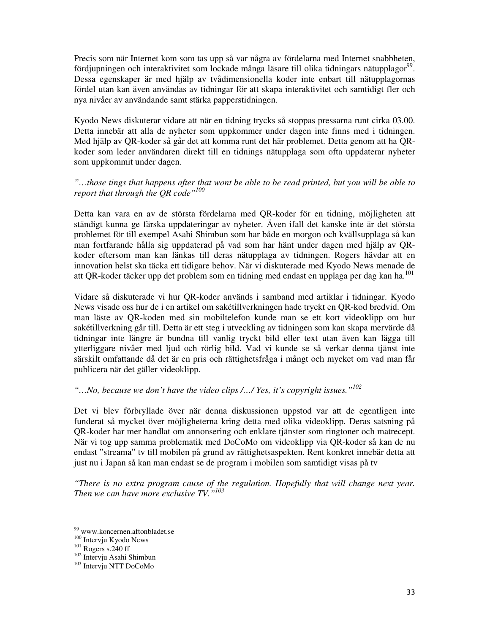Precis som när Internet kom som tas upp så var några av fördelarna med Internet snabbheten, fördjupningen och interaktivitet som lockade många läsare till olika tidningars nätupplagor<sup>99</sup>. Dessa egenskaper är med hjälp av tvådimensionella koder inte enbart till nätupplagornas fördel utan kan även användas av tidningar för att skapa interaktivitet och samtidigt fler och nya nivåer av användande samt stärka papperstidningen.

Kyodo News diskuterar vidare att när en tidning trycks så stoppas pressarna runt cirka 03.00. Detta innebär att alla de nyheter som uppkommer under dagen inte finns med i tidningen. Med hjälp av QR-koder så går det att komma runt det här problemet. Detta genom att ha QRkoder som leder användaren direkt till en tidnings nätupplaga som ofta uppdaterar nyheter som uppkommit under dagen.

#### *"…those tings that happens after that wont be able to be read printed, but you will be able to report that through the QR code"<sup>100</sup>*

Detta kan vara en av de största fördelarna med QR-koder för en tidning, möjligheten att ständigt kunna ge färska uppdateringar av nyheter. Även ifall det kanske inte är det största problemet för till exempel Asahi Shimbun som har både en morgon och kvällsupplaga så kan man fortfarande hålla sig uppdaterad på vad som har hänt under dagen med hjälp av QRkoder eftersom man kan länkas till deras nätupplaga av tidningen. Rogers hävdar att en innovation helst ska täcka ett tidigare behov. När vi diskuterade med Kyodo News menade de att QR-koder täcker upp det problem som en tidning med endast en upplaga per dag kan ha.<sup>101</sup>

Vidare så diskuterade vi hur QR-koder används i samband med artiklar i tidningar. Kyodo News visade oss hur de i en artikel om sakétillverkningen hade tryckt en QR-kod bredvid. Om man läste av QR-koden med sin mobiltelefon kunde man se ett kort videoklipp om hur sakétillverkning går till. Detta är ett steg i utveckling av tidningen som kan skapa mervärde då tidningar inte längre är bundna till vanlig tryckt bild eller text utan även kan lägga till ytterliggare nivåer med ljud och rörlig bild. Vad vi kunde se så verkar denna tjänst inte särskilt omfattande då det är en pris och rättighetsfråga i mångt och mycket om vad man får publicera när det gäller videoklipp.

#### *"…No, because we don't have the video clips /…/ Yes, it's copyright issues."<sup>102</sup>*

Det vi blev förbryllade över när denna diskussionen uppstod var att de egentligen inte funderat så mycket över möjligheterna kring detta med olika videoklipp. Deras satsning på QR-koder har mer handlat om annonsering och enklare tjänster som ringtoner och matrecept. När vi tog upp samma problematik med DoCoMo om videoklipp via QR-koder så kan de nu endast "streama" tv till mobilen på grund av rättighetsaspekten. Rent konkret innebär detta att just nu i Japan så kan man endast se de program i mobilen som samtidigt visas på tv

*"There is no extra program cause of the regulation. Hopefully that will change next year. Then we can have more exclusive TV."<sup>103</sup>*

<sup>99</sup> www.koncernen.aftonbladet.se

<sup>&</sup>lt;sup>100</sup> Intervju Kyodo News

 $101$  Rogers s.240 ff

<sup>102</sup> Intervju Asahi Shimbun

<sup>103</sup> Intervju NTT DoCoMo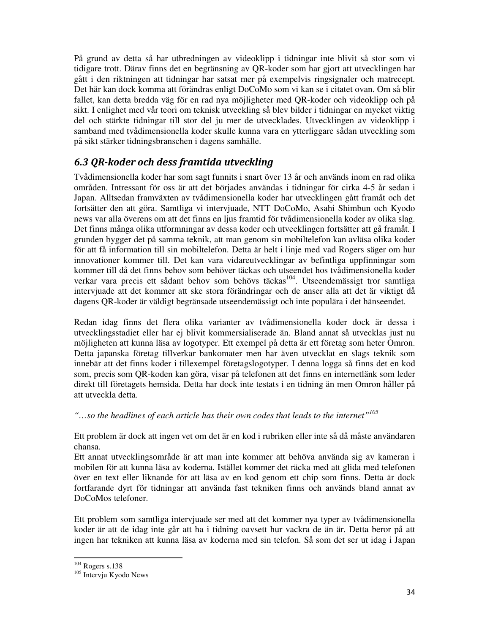På grund av detta så har utbredningen av videoklipp i tidningar inte blivit så stor som vi tidigare trott. Därav finns det en begränsning av QR-koder som har gjort att utvecklingen har gått i den riktningen att tidningar har satsat mer på exempelvis ringsignaler och matrecept. Det här kan dock komma att förändras enligt DoCoMo som vi kan se i citatet ovan. Om så blir fallet, kan detta bredda väg för en rad nya möjligheter med QR-koder och videoklipp och på sikt. I enlighet med vår teori om teknisk utveckling så blev bilder i tidningar en mycket viktig del och stärkte tidningar till stor del ju mer de utvecklades. Utvecklingen av videoklipp i samband med tvådimensionella koder skulle kunna vara en ytterliggare sådan utveckling som på sikt stärker tidningsbranschen i dagens samhälle.

## 6.3 QR-koder och dess framtida utveckling

Tvådimensionella koder har som sagt funnits i snart över 13 år och används inom en rad olika områden. Intressant för oss är att det börjades användas i tidningar för cirka 4-5 år sedan i Japan. Alltsedan framväxten av tvådimensionella koder har utvecklingen gått framåt och det fortsätter den att göra. Samtliga vi intervjuade, NTT DoCoMo, Asahi Shimbun och Kyodo news var alla överens om att det finns en ljus framtid för tvådimensionella koder av olika slag. Det finns många olika utformningar av dessa koder och utvecklingen fortsätter att gå framåt. I grunden bygger det på samma teknik, att man genom sin mobiltelefon kan avläsa olika koder för att få information till sin mobiltelefon. Detta är helt i linje med vad Rogers säger om hur innovationer kommer till. Det kan vara vidareutvecklingar av befintliga uppfinningar som kommer till då det finns behov som behöver täckas och utseendet hos tvådimensionella koder verkar vara precis ett sådant behov som behövs täckas<sup>104</sup>. Utseendemässigt tror samtliga intervjuade att det kommer att ske stora förändringar och de anser alla att det är viktigt då dagens QR-koder är väldigt begränsade utseendemässigt och inte populära i det hänseendet.

Redan idag finns det flera olika varianter av tvådimensionella koder dock är dessa i utvecklingsstadiet eller har ej blivit kommersialiserade än. Bland annat så utvecklas just nu möjligheten att kunna läsa av logotyper. Ett exempel på detta är ett företag som heter Omron. Detta japanska företag tillverkar bankomater men har även utvecklat en slags teknik som innebär att det finns koder i tillexempel företagslogotyper. I denna logga så finns det en kod som, precis som QR-koden kan göra, visar på telefonen att det finns en internetlänk som leder direkt till företagets hemsida. Detta har dock inte testats i en tidning än men Omron håller på att utveckla detta.

*"…so the headlines of each article has their own codes that leads to the internet"<sup>105</sup>*

Ett problem är dock att ingen vet om det är en kod i rubriken eller inte så då måste användaren chansa.

Ett annat utvecklingsområde är att man inte kommer att behöva använda sig av kameran i mobilen för att kunna läsa av koderna. Istället kommer det räcka med att glida med telefonen över en text eller liknande för att läsa av en kod genom ett chip som finns. Detta är dock fortfarande dyrt för tidningar att använda fast tekniken finns och används bland annat av DoCoMos telefoner.

Ett problem som samtliga intervjuade ser med att det kommer nya typer av tvådimensionella koder är att de idag inte går att ha i tidning oavsett hur vackra de än är. Detta beror på att ingen har tekniken att kunna läsa av koderna med sin telefon. Så som det ser ut idag i Japan

.

<sup>104</sup> Rogers s.138

<sup>105</sup> Intervju Kyodo News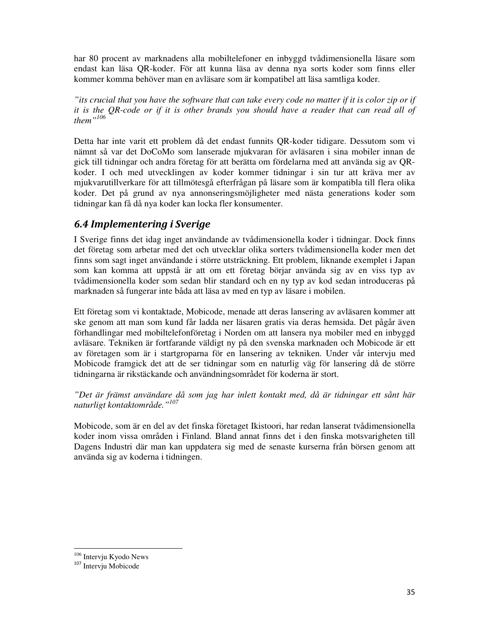har 80 procent av marknadens alla mobiltelefoner en inbyggd tvådimensionella läsare som endast kan läsa QR-koder. För att kunna läsa av denna nya sorts koder som finns eller kommer komma behöver man en avläsare som är kompatibel att läsa samtliga koder.

*"its crucial that you have the software that can take every code no matter if it is color zip or if it is the QR-code or if it is other brands you should have a reader that can read all of them"<sup>106</sup>*

Detta har inte varit ett problem då det endast funnits QR-koder tidigare. Dessutom som vi nämnt så var det DoCoMo som lanserade mjukvaran för avläsaren i sina mobiler innan de gick till tidningar och andra företag för att berätta om fördelarna med att använda sig av QRkoder. I och med utvecklingen av koder kommer tidningar i sin tur att kräva mer av mjukvarutillverkare för att tillmötesgå efterfrågan på läsare som är kompatibla till flera olika koder. Det på grund av nya annonseringsmöjligheter med nästa generations koder som tidningar kan få då nya koder kan locka fler konsumenter.

## 6.4 Implementering i Sverige

I Sverige finns det idag inget användande av tvådimensionella koder i tidningar. Dock finns det företag som arbetar med det och utvecklar olika sorters tvådimensionella koder men det finns som sagt inget användande i större utsträckning. Ett problem, liknande exemplet i Japan som kan komma att uppstå är att om ett företag börjar använda sig av en viss typ av tvådimensionella koder som sedan blir standard och en ny typ av kod sedan introduceras på marknaden så fungerar inte båda att läsa av med en typ av läsare i mobilen.

Ett företag som vi kontaktade, Mobicode, menade att deras lansering av avläsaren kommer att ske genom att man som kund får ladda ner läsaren gratis via deras hemsida. Det pågår även förhandlingar med mobiltelefonföretag i Norden om att lansera nya mobiler med en inbyggd avläsare. Tekniken är fortfarande väldigt ny på den svenska marknaden och Mobicode är ett av företagen som är i startgroparna för en lansering av tekniken. Under vår intervju med Mobicode framgick det att de ser tidningar som en naturlig väg för lansering då de större tidningarna är rikstäckande och användningsområdet för koderna är stort.

*"Det är främst användare då som jag har inlett kontakt med, då är tidningar ett sånt här naturligt kontaktområde."<sup>107</sup>*

Mobicode, som är en del av det finska företaget Ikistoori, har redan lanserat tvådimensionella koder inom vissa områden i Finland. Bland annat finns det i den finska motsvarigheten till Dagens Industri där man kan uppdatera sig med de senaste kurserna från börsen genom att använda sig av koderna i tidningen.

<sup>106</sup> Intervju Kyodo News

<sup>107</sup> Intervju Mobicode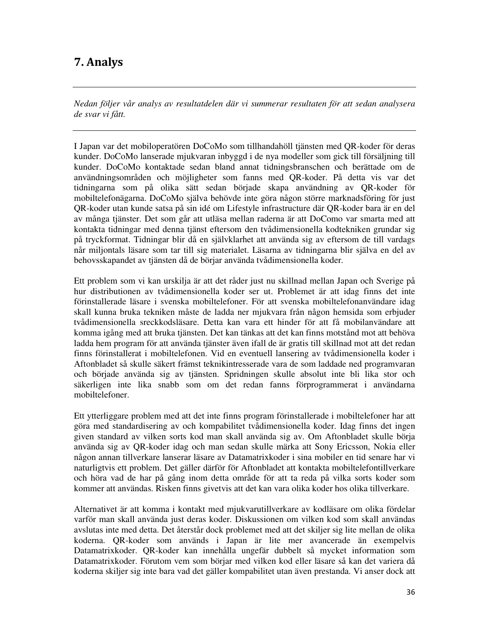## 7. Analys

*Nedan följer vår analys av resultatdelen där vi summerar resultaten för att sedan analysera de svar vi fått.* 

I Japan var det mobiloperatören DoCoMo som tillhandahöll tjänsten med QR-koder för deras kunder. DoCoMo lanserade mjukvaran inbyggd i de nya modeller som gick till försäljning till kunder. DoCoMo kontaktade sedan bland annat tidningsbranschen och berättade om de användningsområden och möjligheter som fanns med QR-koder. På detta vis var det tidningarna som på olika sätt sedan började skapa användning av QR-koder för mobiltelefonägarna. DoCoMo själva behövde inte göra någon större marknadsföring för just QR-koder utan kunde satsa på sin idé om Lifestyle infrastructure där QR-koder bara är en del av många tjänster. Det som går att utläsa mellan raderna är att DoComo var smarta med att kontakta tidningar med denna tjänst eftersom den tvådimensionella kodtekniken grundar sig på tryckformat. Tidningar blir då en självklarhet att använda sig av eftersom de till vardags når miljontals läsare som tar till sig materialet. Läsarna av tidningarna blir själva en del av behovsskapandet av tjänsten då de börjar använda tvådimensionella koder.

Ett problem som vi kan urskilja är att det råder just nu skillnad mellan Japan och Sverige på hur distributionen av tvådimensionella koder ser ut. Problemet är att idag finns det inte förinstallerade läsare i svenska mobiltelefoner. För att svenska mobiltelefonanvändare idag skall kunna bruka tekniken måste de ladda ner mjukvara från någon hemsida som erbjuder tvådimensionella sreckkodsläsare. Detta kan vara ett hinder för att få mobilanvändare att komma igång med att bruka tjänsten. Det kan tänkas att det kan finns motstånd mot att behöva ladda hem program för att använda tjänster även ifall de är gratis till skillnad mot att det redan finns förinstallerat i mobiltelefonen. Vid en eventuell lansering av tvådimensionella koder i Aftonbladet så skulle säkert främst teknikintresserade vara de som laddade ned programvaran och började använda sig av tjänsten. Spridningen skulle absolut inte bli lika stor och säkerligen inte lika snabb som om det redan fanns förprogrammerat i användarna mobiltelefoner.

Ett ytterliggare problem med att det inte finns program förinstallerade i mobiltelefoner har att göra med standardisering av och kompabilitet tvådimensionella koder. Idag finns det ingen given standard av vilken sorts kod man skall använda sig av. Om Aftonbladet skulle börja använda sig av QR-koder idag och man sedan skulle märka att Sony Ericsson, Nokia eller någon annan tillverkare lanserar läsare av Datamatrixkoder i sina mobiler en tid senare har vi naturligtvis ett problem. Det gäller därför för Aftonbladet att kontakta mobiltelefontillverkare och höra vad de har på gång inom detta område för att ta reda på vilka sorts koder som kommer att användas. Risken finns givetvis att det kan vara olika koder hos olika tillverkare.

Alternativet är att komma i kontakt med mjukvarutillverkare av kodläsare om olika fördelar varför man skall använda just deras koder. Diskussionen om vilken kod som skall användas avslutas inte med detta. Det återstår dock problemet med att det skiljer sig lite mellan de olika koderna. QR-koder som används i Japan är lite mer avancerade än exempelvis Datamatrixkoder. QR-koder kan innehålla ungefär dubbelt så mycket information som Datamatrixkoder. Förutom vem som börjar med vilken kod eller läsare så kan det variera då koderna skiljer sig inte bara vad det gäller kompabilitet utan även prestanda. Vi anser dock att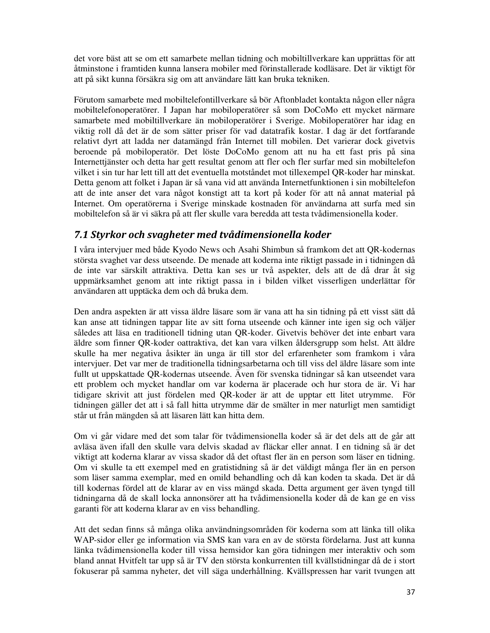det vore bäst att se om ett samarbete mellan tidning och mobiltillverkare kan upprättas för att åtminstone i framtiden kunna lansera mobiler med förinstallerade kodläsare. Det är viktigt för att på sikt kunna försäkra sig om att användare lätt kan bruka tekniken.

Förutom samarbete med mobiltelefontillverkare så bör Aftonbladet kontakta någon eller några mobiltelefonoperatörer. I Japan har mobiloperatörer så som DoCoMo ett mycket närmare samarbete med mobiltillverkare än mobiloperatörer i Sverige. Mobiloperatörer har idag en viktig roll då det är de som sätter priser för vad datatrafik kostar. I dag är det fortfarande relativt dyrt att ladda ner datamängd från Internet till mobilen. Det varierar dock givetvis beroende på mobiloperatör. Det löste DoCoMo genom att nu ha ett fast pris på sina Internettjänster och detta har gett resultat genom att fler och fler surfar med sin mobiltelefon vilket i sin tur har lett till att det eventuella motståndet mot tillexempel QR-koder har minskat. Detta genom att folket i Japan är så vana vid att använda Internetfunktionen i sin mobiltelefon att de inte anser det vara något konstigt att ta kort på koder för att nå annat material på Internet. Om operatörerna i Sverige minskade kostnaden för användarna att surfa med sin mobiltelefon så är vi säkra på att fler skulle vara beredda att testa tvådimensionella koder.

## 7.1 Styrkor och svagheter med tvådimensionella koder

I våra intervjuer med både Kyodo News och Asahi Shimbun så framkom det att QR-kodernas största svaghet var dess utseende. De menade att koderna inte riktigt passade in i tidningen då de inte var särskilt attraktiva. Detta kan ses ur två aspekter, dels att de då drar åt sig uppmärksamhet genom att inte riktigt passa in i bilden vilket visserligen underlättar för användaren att upptäcka dem och då bruka dem.

Den andra aspekten är att vissa äldre läsare som är vana att ha sin tidning på ett visst sätt då kan anse att tidningen tappar lite av sitt forna utseende och känner inte igen sig och väljer således att läsa en traditionell tidning utan QR-koder. Givetvis behöver det inte enbart vara äldre som finner QR-koder oattraktiva, det kan vara vilken åldersgrupp som helst. Att äldre skulle ha mer negativa åsikter än unga är till stor del erfarenheter som framkom i våra intervjuer. Det var mer de traditionella tidningsarbetarna och till viss del äldre läsare som inte fullt ut uppskattade QR-kodernas utseende. Även för svenska tidningar så kan utseendet vara ett problem och mycket handlar om var koderna är placerade och hur stora de är. Vi har tidigare skrivit att just fördelen med QR-koder är att de upptar ett litet utrymme. För tidningen gäller det att i så fall hitta utrymme där de smälter in mer naturligt men samtidigt står ut från mängden så att läsaren lätt kan hitta dem.

Om vi går vidare med det som talar för tvådimensionella koder så är det dels att de går att avläsa även ifall den skulle vara delvis skadad av fläckar eller annat. I en tidning så är det viktigt att koderna klarar av vissa skador då det oftast fler än en person som läser en tidning. Om vi skulle ta ett exempel med en gratistidning så är det väldigt många fler än en person som läser samma exemplar, med en omild behandling och då kan koden ta skada. Det är då till kodernas fördel att de klarar av en viss mängd skada. Detta argument ger även tyngd till tidningarna då de skall locka annonsörer att ha tvådimensionella koder då de kan ge en viss garanti för att koderna klarar av en viss behandling.

Att det sedan finns så många olika användningsområden för koderna som att länka till olika WAP-sidor eller ge information via SMS kan vara en av de största fördelarna. Just att kunna länka tvådimensionella koder till vissa hemsidor kan göra tidningen mer interaktiv och som bland annat Hvitfelt tar upp så är TV den största konkurrenten till kvällstidningar då de i stort fokuserar på samma nyheter, det vill säga underhållning. Kvällspressen har varit tvungen att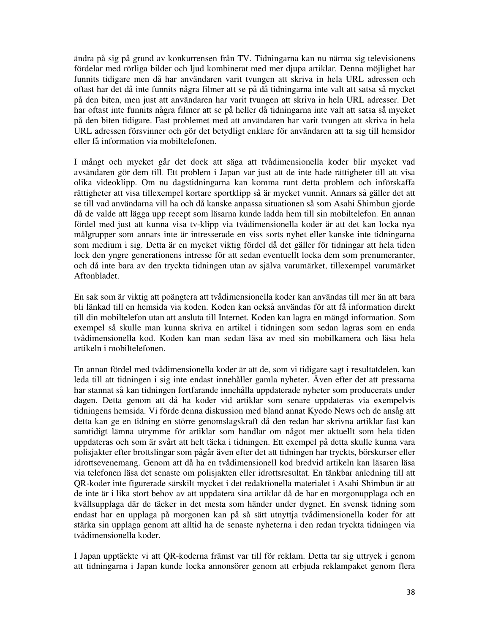ändra på sig på grund av konkurrensen från TV. Tidningarna kan nu närma sig televisionens fördelar med rörliga bilder och ljud kombinerat med mer djupa artiklar. Denna möjlighet har funnits tidigare men då har användaren varit tvungen att skriva in hela URL adressen och oftast har det då inte funnits några filmer att se på då tidningarna inte valt att satsa så mycket på den biten, men just att användaren har varit tvungen att skriva in hela URL adresser. Det har oftast inte funnits några filmer att se på heller då tidningarna inte valt att satsa så mycket på den biten tidigare. Fast problemet med att användaren har varit tvungen att skriva in hela URL adressen försvinner och gör det betydligt enklare för användaren att ta sig till hemsidor eller få information via mobiltelefonen.

I mångt och mycket går det dock att säga att tvådimensionella koder blir mycket vad avsändaren gör dem till. Ett problem i Japan var just att de inte hade rättigheter till att visa olika videoklipp. Om nu dagstidningarna kan komma runt detta problem och införskaffa rättigheter att visa tillexempel kortare sportklipp så är mycket vunnit. Annars så gäller det att se till vad användarna vill ha och då kanske anpassa situationen så som Asahi Shimbun gjorde då de valde att lägga upp recept som läsarna kunde ladda hem till sin mobiltelefon. En annan fördel med just att kunna visa tv-klipp via tvådimensionella koder är att det kan locka nya målgrupper som annars inte är intresserade en viss sorts nyhet eller kanske inte tidningarna som medium i sig. Detta är en mycket viktig fördel då det gäller för tidningar att hela tiden lock den yngre generationens intresse för att sedan eventuellt locka dem som prenumeranter, och då inte bara av den tryckta tidningen utan av själva varumärket, tillexempel varumärket Aftonbladet.

En sak som är viktig att poängtera att tvådimensionella koder kan användas till mer än att bara bli länkad till en hemsida via koden. Koden kan också användas för att få information direkt till din mobiltelefon utan att ansluta till Internet. Koden kan lagra en mängd information. Som exempel så skulle man kunna skriva en artikel i tidningen som sedan lagras som en enda tvådimensionella kod. Koden kan man sedan läsa av med sin mobilkamera och läsa hela artikeln i mobiltelefonen.

En annan fördel med tvådimensionella koder är att de, som vi tidigare sagt i resultatdelen, kan leda till att tidningen i sig inte endast innehåller gamla nyheter. Även efter det att pressarna har stannat så kan tidningen fortfarande innehålla uppdaterade nyheter som producerats under dagen. Detta genom att då ha koder vid artiklar som senare uppdateras via exempelvis tidningens hemsida. Vi förde denna diskussion med bland annat Kyodo News och de ansåg att detta kan ge en tidning en större genomslagskraft då den redan har skrivna artiklar fast kan samtidigt lämna utrymme för artiklar som handlar om något mer aktuellt som hela tiden uppdateras och som är svårt att helt täcka i tidningen. Ett exempel på detta skulle kunna vara polisjakter efter brottslingar som pågår även efter det att tidningen har tryckts, börskurser eller idrottsevenemang. Genom att då ha en tvådimensionell kod bredvid artikeln kan läsaren läsa via telefonen läsa det senaste om polisjakten eller idrottsresultat. En tänkbar anledning till att QR-koder inte figurerade särskilt mycket i det redaktionella materialet i Asahi Shimbun är att de inte är i lika stort behov av att uppdatera sina artiklar då de har en morgonupplaga och en kvällsupplaga där de täcker in det mesta som händer under dygnet. En svensk tidning som endast har en upplaga på morgonen kan på så sätt utnyttja tvådimensionella koder för att stärka sin upplaga genom att alltid ha de senaste nyheterna i den redan tryckta tidningen via tvådimensionella koder.

I Japan upptäckte vi att QR-koderna främst var till för reklam. Detta tar sig uttryck i genom att tidningarna i Japan kunde locka annonsörer genom att erbjuda reklampaket genom flera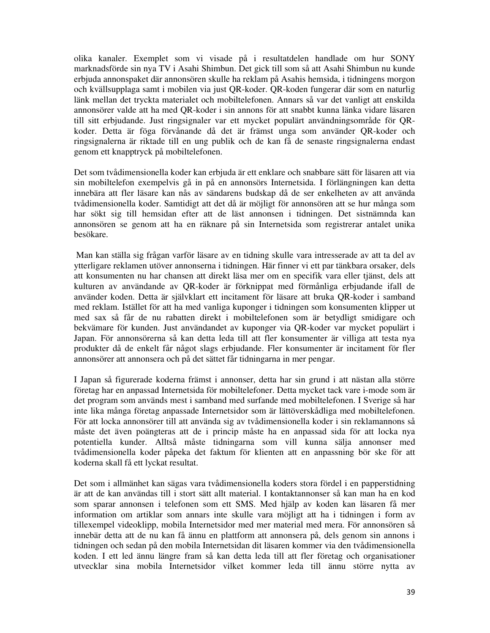olika kanaler. Exemplet som vi visade på i resultatdelen handlade om hur SONY marknadsförde sin nya TV i Asahi Shimbun. Det gick till som så att Asahi Shimbun nu kunde erbjuda annonspaket där annonsören skulle ha reklam på Asahis hemsida, i tidningens morgon och kvällsupplaga samt i mobilen via just QR-koder. QR-koden fungerar där som en naturlig länk mellan det tryckta materialet och mobiltelefonen. Annars så var det vanligt att enskilda annonsörer valde att ha med QR-koder i sin annons för att snabbt kunna länka vidare läsaren till sitt erbjudande. Just ringsignaler var ett mycket populärt användningsområde för QRkoder. Detta är föga förvånande då det är främst unga som använder QR-koder och ringsignalerna är riktade till en ung publik och de kan få de senaste ringsignalerna endast genom ett knapptryck på mobiltelefonen.

Det som tvådimensionella koder kan erbjuda är ett enklare och snabbare sätt för läsaren att via sin mobiltelefon exempelvis gå in på en annonsörs Internetsida. I förlängningen kan detta innebära att fler läsare kan nås av sändarens budskap då de ser enkelheten av att använda tvådimensionella koder. Samtidigt att det då är möjligt för annonsören att se hur många som har sökt sig till hemsidan efter att de läst annonsen i tidningen. Det sistnämnda kan annonsören se genom att ha en räknare på sin Internetsida som registrerar antalet unika besökare.

 Man kan ställa sig frågan varför läsare av en tidning skulle vara intresserade av att ta del av ytterligare reklamen utöver annonserna i tidningen. Här finner vi ett par tänkbara orsaker, dels att konsumenten nu har chansen att direkt läsa mer om en specifik vara eller tjänst, dels att kulturen av användande av QR-koder är förknippat med förmånliga erbjudande ifall de använder koden. Detta är självklart ett incitament för läsare att bruka QR-koder i samband med reklam. Istället för att ha med vanliga kuponger i tidningen som konsumenten klipper ut med sax så får de nu rabatten direkt i mobiltelefonen som är betydligt smidigare och bekvämare för kunden. Just användandet av kuponger via QR-koder var mycket populärt i Japan. För annonsörerna så kan detta leda till att fler konsumenter är villiga att testa nya produkter då de enkelt får något slags erbjudande. Fler konsumenter är incitament för fler annonsörer att annonsera och på det sättet får tidningarna in mer pengar.

I Japan så figurerade koderna främst i annonser, detta har sin grund i att nästan alla större företag har en anpassad Internetsida för mobiltelefoner. Detta mycket tack vare i-mode som är det program som används mest i samband med surfande med mobiltelefonen. I Sverige så har inte lika många företag anpassade Internetsidor som är lättöverskådliga med mobiltelefonen. För att locka annonsörer till att använda sig av tvådimensionella koder i sin reklamannons så måste det även poängteras att de i princip måste ha en anpassad sida för att locka nya potentiella kunder. Alltså måste tidningarna som vill kunna sälja annonser med tvådimensionella koder påpeka det faktum för klienten att en anpassning bör ske för att koderna skall få ett lyckat resultat.

Det som i allmänhet kan sägas vara tvådimensionella koders stora fördel i en papperstidning är att de kan användas till i stort sätt allt material. I kontaktannonser så kan man ha en kod som sparar annonsen i telefonen som ett SMS. Med hjälp av koden kan läsaren få mer information om artiklar som annars inte skulle vara möjligt att ha i tidningen i form av tillexempel videoklipp, mobila Internetsidor med mer material med mera. För annonsören så innebär detta att de nu kan få ännu en plattform att annonsera på, dels genom sin annons i tidningen och sedan på den mobila Internetsidan dit läsaren kommer via den tvådimensionella koden. I ett led ännu längre fram så kan detta leda till att fler företag och organisationer utvecklar sina mobila Internetsidor vilket kommer leda till ännu större nytta av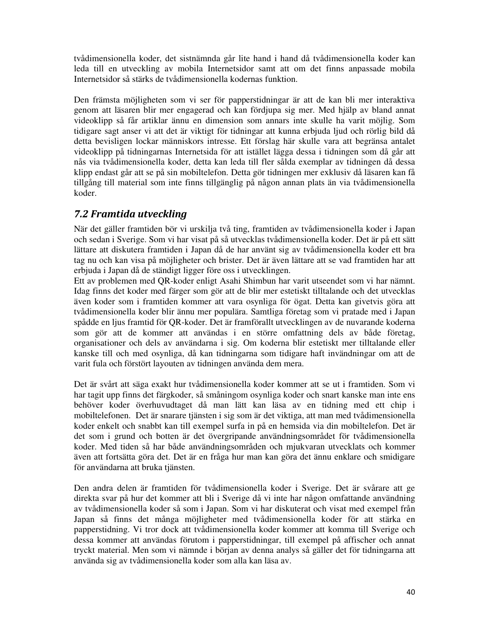tvådimensionella koder, det sistnämnda går lite hand i hand då tvådimensionella koder kan leda till en utveckling av mobila Internetsidor samt att om det finns anpassade mobila Internetsidor så stärks de tvådimensionella kodernas funktion.

Den främsta möjligheten som vi ser för papperstidningar är att de kan bli mer interaktiva genom att läsaren blir mer engagerad och kan fördjupa sig mer. Med hjälp av bland annat videoklipp så får artiklar ännu en dimension som annars inte skulle ha varit möjlig. Som tidigare sagt anser vi att det är viktigt för tidningar att kunna erbjuda ljud och rörlig bild då detta bevisligen lockar människors intresse. Ett förslag här skulle vara att begränsa antalet videoklipp på tidningarnas Internetsida för att istället lägga dessa i tidningen som då går att nås via tvådimensionella koder, detta kan leda till fler sålda exemplar av tidningen då dessa klipp endast går att se på sin mobiltelefon. Detta gör tidningen mer exklusiv då läsaren kan få tillgång till material som inte finns tillgänglig på någon annan plats än via tvådimensionella koder.

## 7.2 Framtida utveckling

När det gäller framtiden bör vi urskilja två ting, framtiden av tvådimensionella koder i Japan och sedan i Sverige. Som vi har visat på så utvecklas tvådimensionella koder. Det är på ett sätt lättare att diskutera framtiden i Japan då de har använt sig av tvådimensionella koder ett bra tag nu och kan visa på möjligheter och brister. Det är även lättare att se vad framtiden har att erbjuda i Japan då de ständigt ligger före oss i utvecklingen.

Ett av problemen med QR-koder enligt Asahi Shimbun har varit utseendet som vi har nämnt. Idag finns det koder med färger som gör att de blir mer estetiskt tilltalande och det utvecklas även koder som i framtiden kommer att vara osynliga för ögat. Detta kan givetvis göra att tvådimensionella koder blir ännu mer populära. Samtliga företag som vi pratade med i Japan spådde en ljus framtid för QR-koder. Det är framförallt utvecklingen av de nuvarande koderna som gör att de kommer att användas i en större omfattning dels av både företag, organisationer och dels av användarna i sig. Om koderna blir estetiskt mer tilltalande eller kanske till och med osynliga, då kan tidningarna som tidigare haft invändningar om att de varit fula och förstört layouten av tidningen använda dem mera.

Det är svårt att säga exakt hur tvådimensionella koder kommer att se ut i framtiden. Som vi har tagit upp finns det färgkoder, så småningom osynliga koder och snart kanske man inte ens behöver koder överhuvudtaget då man lätt kan läsa av en tidning med ett chip i mobiltelefonen. Det är snarare tjänsten i sig som är det viktiga, att man med tvådimensionella koder enkelt och snabbt kan till exempel surfa in på en hemsida via din mobiltelefon. Det är det som i grund och botten är det övergripande användningsområdet för tvådimensionella koder. Med tiden så har både användningsområden och mjukvaran utvecklats och kommer även att fortsätta göra det. Det är en fråga hur man kan göra det ännu enklare och smidigare för användarna att bruka tjänsten.

Den andra delen är framtiden för tvådimensionella koder i Sverige. Det är svårare att ge direkta svar på hur det kommer att bli i Sverige då vi inte har någon omfattande användning av tvådimensionella koder så som i Japan. Som vi har diskuterat och visat med exempel från Japan så finns det många möjligheter med tvådimensionella koder för att stärka en papperstidning. Vi tror dock att tvådimensionella koder kommer att komma till Sverige och dessa kommer att användas förutom i papperstidningar, till exempel på affischer och annat tryckt material. Men som vi nämnde i början av denna analys så gäller det för tidningarna att använda sig av tvådimensionella koder som alla kan läsa av.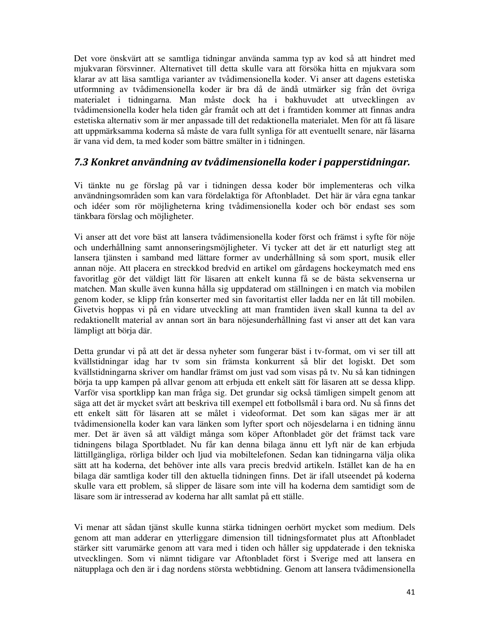Det vore önskvärt att se samtliga tidningar använda samma typ av kod så att hindret med mjukvaran försvinner. Alternativet till detta skulle vara att försöka hitta en mjukvara som klarar av att läsa samtliga varianter av tvådimensionella koder. Vi anser att dagens estetiska utformning av tvådimensionella koder är bra då de ändå utmärker sig från det övriga materialet i tidningarna. Man måste dock ha i bakhuvudet att utvecklingen av tvådimensionella koder hela tiden går framåt och att det i framtiden kommer att finnas andra estetiska alternativ som är mer anpassade till det redaktionella materialet. Men för att få läsare att uppmärksamma koderna så måste de vara fullt synliga för att eventuellt senare, när läsarna är vana vid dem, ta med koder som bättre smälter in i tidningen.

## 7.3 Konkret användning av tvådimensionella koder i papperstidningar.

Vi tänkte nu ge förslag på var i tidningen dessa koder bör implementeras och vilka användningsområden som kan vara fördelaktiga för Aftonbladet. Det här är våra egna tankar och idéer som rör möjligheterna kring tvådimensionella koder och bör endast ses som tänkbara förslag och möjligheter.

Vi anser att det vore bäst att lansera tvådimensionella koder först och främst i syfte för nöje och underhållning samt annonseringsmöjligheter. Vi tycker att det är ett naturligt steg att lansera tjänsten i samband med lättare former av underhållning så som sport, musik eller annan nöje. Att placera en streckkod bredvid en artikel om gårdagens hockeymatch med ens favoritlag gör det väldigt lätt för läsaren att enkelt kunna få se de bästa sekvenserna ur matchen. Man skulle även kunna hålla sig uppdaterad om ställningen i en match via mobilen genom koder, se klipp från konserter med sin favoritartist eller ladda ner en låt till mobilen. Givetvis hoppas vi på en vidare utveckling att man framtiden även skall kunna ta del av redaktionellt material av annan sort än bara nöjesunderhållning fast vi anser att det kan vara lämpligt att börja där.

Detta grundar vi på att det är dessa nyheter som fungerar bäst i tv-format, om vi ser till att kvällstidningar idag har tv som sin främsta konkurrent så blir det logiskt. Det som kvällstidningarna skriver om handlar främst om just vad som visas på tv. Nu så kan tidningen börja ta upp kampen på allvar genom att erbjuda ett enkelt sätt för läsaren att se dessa klipp. Varför visa sportklipp kan man fråga sig. Det grundar sig också tämligen simpelt genom att säga att det är mycket svårt att beskriva till exempel ett fotbollsmål i bara ord. Nu så finns det ett enkelt sätt för läsaren att se målet i videoformat. Det som kan sägas mer är att tvådimensionella koder kan vara länken som lyfter sport och nöjesdelarna i en tidning ännu mer. Det är även så att väldigt många som köper Aftonbladet gör det främst tack vare tidningens bilaga Sportbladet. Nu får kan denna bilaga ännu ett lyft när de kan erbjuda lättillgängliga, rörliga bilder och ljud via mobiltelefonen. Sedan kan tidningarna välja olika sätt att ha koderna, det behöver inte alls vara precis bredvid artikeln. Istället kan de ha en bilaga där samtliga koder till den aktuella tidningen finns. Det är ifall utseendet på koderna skulle vara ett problem, så slipper de läsare som inte vill ha koderna dem samtidigt som de läsare som är intresserad av koderna har allt samlat på ett ställe.

Vi menar att sådan tjänst skulle kunna stärka tidningen oerhört mycket som medium. Dels genom att man adderar en ytterliggare dimension till tidningsformatet plus att Aftonbladet stärker sitt varumärke genom att vara med i tiden och håller sig uppdaterade i den tekniska utvecklingen. Som vi nämnt tidigare var Aftonbladet först i Sverige med att lansera en nätupplaga och den är i dag nordens största webbtidning. Genom att lansera tvådimensionella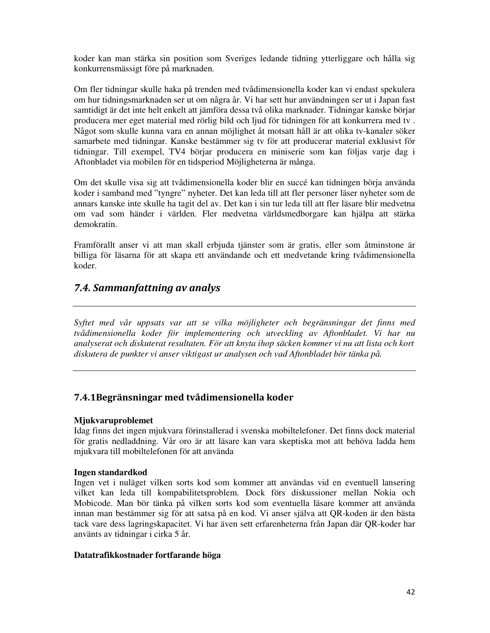koder kan man stärka sin position som Sveriges ledande tidning ytterliggare och hålla sig konkurrensmässigt före på marknaden.

Om fler tidningar skulle haka på trenden med tvådimensionella koder kan vi endast spekulera om hur tidningsmarknaden ser ut om några år. Vi har sett hur användningen ser ut i Japan fast samtidigt är det inte helt enkelt att jämföra dessa två olika marknader. Tidningar kanske börjar producera mer eget material med rörlig bild och ljud för tidningen för att konkurrera med tv . Något som skulle kunna vara en annan möjlighet åt motsatt håll är att olika tv-kanaler söker samarbete med tidningar. Kanske bestämmer sig tv för att producerar material exklusivt för tidningar. Till exempel, TV4 börjar producera en miniserie som kan följas varje dag i Aftonbladet via mobilen för en tidsperiod Möjligheterna är många.

Om det skulle visa sig att tvådimensionella koder blir en succé kan tidningen börja använda koder i samband med "tyngre" nyheter. Det kan leda till att fler personer läser nyheter som de annars kanske inte skulle ha tagit del av. Det kan i sin tur leda till att fler läsare blir medvetna om vad som händer i världen. Fler medvetna världsmedborgare kan hjälpa att stärka demokratin.

Framförallt anser vi att man skall erbjuda tjänster som är gratis, eller som åtminstone är billiga för läsarna för att skapa ett användande och ett medvetande kring tvådimensionella koder.

## 7.4. Sammanfattning av analys

*Syftet med vår uppsats var att se vilka möjligheter och begränsningar det finns med tvådimensionella koder för implementering och utveckling av Aftonbladet. Vi har nu analyserat och diskuterat resultaten. För att knyta ihop säcken kommer vi nu att lista och kort diskutera de punkter vi anser viktigast ur analysen och vad Aftonbladet bör tänka på.* 

#### 7.4.1Begränsningar med tvådimensionella koder

#### **Mjukvaruproblemet**

Idag finns det ingen mjukvara förinstallerad i svenska mobiltelefoner. Det finns dock material för gratis nedladdning. Vår oro är att läsare kan vara skeptiska mot att behöva ladda hem mjukvara till mobiltelefonen för att använda

#### **Ingen standardkod**

Ingen vet i nuläget vilken sorts kod som kommer att användas vid en eventuell lansering vilket kan leda till kompabilitetsproblem. Dock förs diskussioner mellan Nokia och Mobicode. Man bör tänka på vilken sorts kod som eventuella läsare kommer att använda innan man bestämmer sig för att satsa på en kod. Vi anser själva att QR-koden är den bästa tack vare dess lagringskapacitet. Vi har även sett erfarenheterna från Japan där QR-koder har använts av tidningar i cirka 5 år.

#### **Datatrafikkostnader fortfarande höga**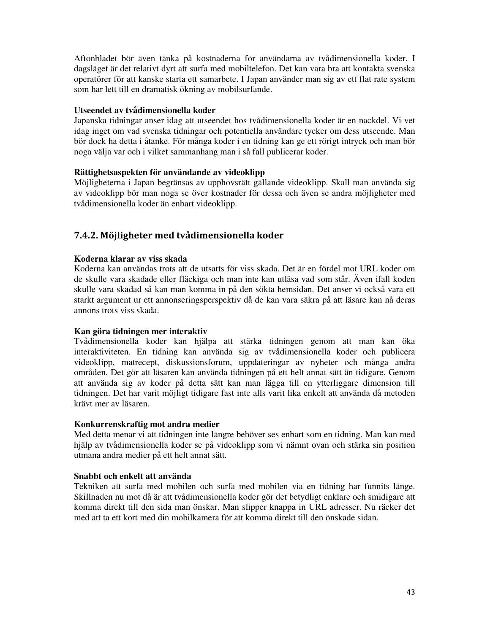Aftonbladet bör även tänka på kostnaderna för användarna av tvådimensionella koder. I dagsläget är det relativt dyrt att surfa med mobiltelefon. Det kan vara bra att kontakta svenska operatörer för att kanske starta ett samarbete. I Japan använder man sig av ett flat rate system som har lett till en dramatisk ökning av mobilsurfande.

#### **Utseendet av tvådimensionella koder**

Japanska tidningar anser idag att utseendet hos tvådimensionella koder är en nackdel. Vi vet idag inget om vad svenska tidningar och potentiella användare tycker om dess utseende. Man bör dock ha detta i åtanke. För många koder i en tidning kan ge ett rörigt intryck och man bör noga välja var och i vilket sammanhang man i så fall publicerar koder.

#### **Rättighetsaspekten för användande av videoklipp**

Möjligheterna i Japan begränsas av upphovsrätt gällande videoklipp. Skall man använda sig av videoklipp bör man noga se över kostnader för dessa och även se andra möjligheter med tvådimensionella koder än enbart videoklipp.

### 7.4.2. Möjligheter med tvådimensionella koder

#### **Koderna klarar av viss skada**

Koderna kan användas trots att de utsatts för viss skada. Det är en fördel mot URL koder om de skulle vara skadade eller fläckiga och man inte kan utläsa vad som står. Även ifall koden skulle vara skadad så kan man komma in på den sökta hemsidan. Det anser vi också vara ett starkt argument ur ett annonseringsperspektiv då de kan vara säkra på att läsare kan nå deras annons trots viss skada.

#### **Kan göra tidningen mer interaktiv**

Tvådimensionella koder kan hjälpa att stärka tidningen genom att man kan öka interaktiviteten. En tidning kan använda sig av tvådimensionella koder och publicera videoklipp, matrecept, diskussionsforum, uppdateringar av nyheter och många andra områden. Det gör att läsaren kan använda tidningen på ett helt annat sätt än tidigare. Genom att använda sig av koder på detta sätt kan man lägga till en ytterliggare dimension till tidningen. Det har varit möjligt tidigare fast inte alls varit lika enkelt att använda då metoden krävt mer av läsaren.

#### **Konkurrenskraftig mot andra medier**

Med detta menar vi att tidningen inte längre behöver ses enbart som en tidning. Man kan med hjälp av tvådimensionella koder se på videoklipp som vi nämnt ovan och stärka sin position utmana andra medier på ett helt annat sätt.

#### **Snabbt och enkelt att använda**

Tekniken att surfa med mobilen och surfa med mobilen via en tidning har funnits länge. Skillnaden nu mot då är att tvådimensionella koder gör det betydligt enklare och smidigare att komma direkt till den sida man önskar. Man slipper knappa in URL adresser. Nu räcker det med att ta ett kort med din mobilkamera för att komma direkt till den önskade sidan.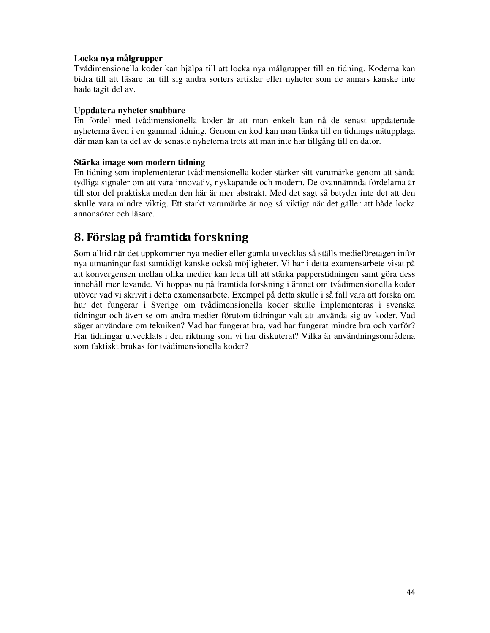#### **Locka nya målgrupper**

Tvådimensionella koder kan hjälpa till att locka nya målgrupper till en tidning. Koderna kan bidra till att läsare tar till sig andra sorters artiklar eller nyheter som de annars kanske inte hade tagit del av.

#### **Uppdatera nyheter snabbare**

En fördel med tvådimensionella koder är att man enkelt kan nå de senast uppdaterade nyheterna även i en gammal tidning. Genom en kod kan man länka till en tidnings nätupplaga där man kan ta del av de senaste nyheterna trots att man inte har tillgång till en dator.

#### **Stärka image som modern tidning**

En tidning som implementerar tvådimensionella koder stärker sitt varumärke genom att sända tydliga signaler om att vara innovativ, nyskapande och modern. De ovannämnda fördelarna är till stor del praktiska medan den här är mer abstrakt. Med det sagt så betyder inte det att den skulle vara mindre viktig. Ett starkt varumärke är nog så viktigt när det gäller att både locka annonsörer och läsare.

## 8. Förslag på framtida forskning

Som alltid när det uppkommer nya medier eller gamla utvecklas så ställs medieföretagen inför nya utmaningar fast samtidigt kanske också möjligheter. Vi har i detta examensarbete visat på att konvergensen mellan olika medier kan leda till att stärka papperstidningen samt göra dess innehåll mer levande. Vi hoppas nu på framtida forskning i ämnet om tvådimensionella koder utöver vad vi skrivit i detta examensarbete. Exempel på detta skulle i så fall vara att forska om hur det fungerar i Sverige om tvådimensionella koder skulle implementeras i svenska tidningar och även se om andra medier förutom tidningar valt att använda sig av koder. Vad säger användare om tekniken? Vad har fungerat bra, vad har fungerat mindre bra och varför? Har tidningar utvecklats i den riktning som vi har diskuterat? Vilka är användningsområdena som faktiskt brukas för tvådimensionella koder?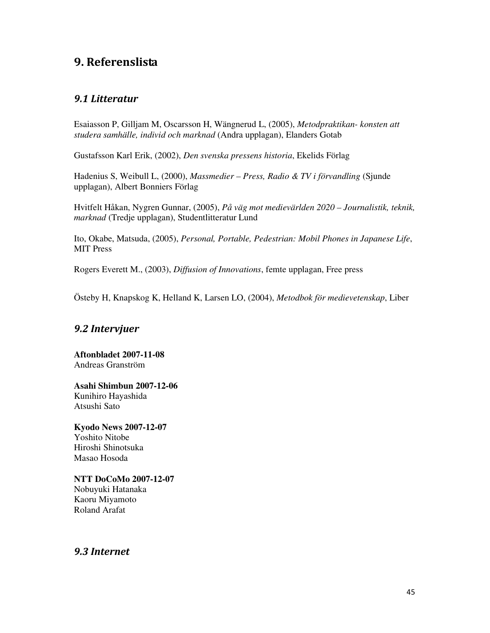## 9. Referenslista

### 9.1 Litteratur

Esaiasson P, Gilljam M, Oscarsson H, Wängnerud L, (2005), *Metodpraktikan- konsten att studera samhälle, individ och marknad* (Andra upplagan), Elanders Gotab

Gustafsson Karl Erik, (2002), *Den svenska pressens historia*, Ekelids Förlag

Hadenius S, Weibull L, (2000), *Massmedier – Press, Radio & TV i förvandling* (Sjunde upplagan), Albert Bonniers Förlag

Hvitfelt Håkan, Nygren Gunnar, (2005), *På väg mot medievärlden 2020 – Journalistik, teknik, marknad* (Tredje upplagan), Studentlitteratur Lund

Ito, Okabe, Matsuda, (2005), *Personal, Portable, Pedestrian: Mobil Phones in Japanese Life*, MIT Press

Rogers Everett M., (2003), *Diffusion of Innovations*, femte upplagan, Free press

Östeby H, Knapskog K, Helland K, Larsen LO, (2004), *Metodbok för medievetenskap*, Liber

## 9.2 Intervjuer

**Aftonbladet 2007-11-08**  Andreas Granström

**Asahi Shimbun 2007-12-06**  Kunihiro Hayashida Atsushi Sato

**Kyodo News 2007-12-07**  Yoshito Nitobe Hiroshi Shinotsuka Masao Hosoda

**NTT DoCoMo 2007-12-07**  Nobuyuki Hatanaka Kaoru Miyamoto Roland Arafat

9.3 Internet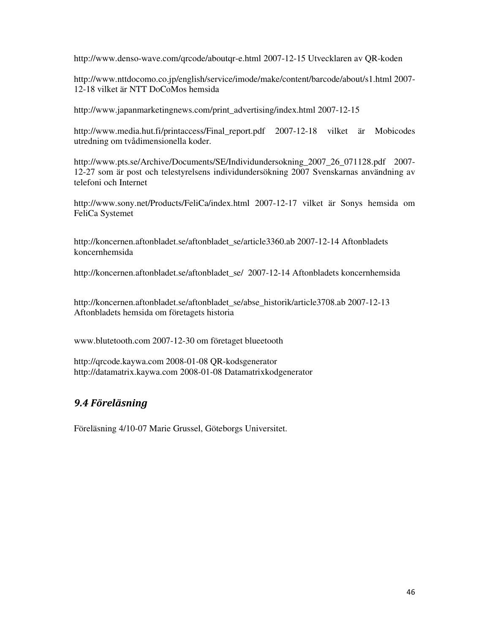http://www.denso-wave.com/qrcode/aboutqr-e.html 2007-12-15 Utvecklaren av QR-koden

http://www.nttdocomo.co.jp/english/service/imode/make/content/barcode/about/s1.html 2007- 12-18 vilket är NTT DoCoMos hemsida

http://www.japanmarketingnews.com/print\_advertising/index.html 2007-12-15

http://www.media.hut.fi/printaccess/Final\_report.pdf 2007-12-18 vilket är Mobicodes utredning om tvådimensionella koder.

http://www.pts.se/Archive/Documents/SE/Individundersokning\_2007\_26\_071128.pdf 2007- 12-27 som är post och telestyrelsens individundersökning 2007 Svenskarnas användning av telefoni och Internet

http://www.sony.net/Products/FeliCa/index.html 2007-12-17 vilket är Sonys hemsida om FeliCa Systemet

http://koncernen.aftonbladet.se/aftonbladet\_se/article3360.ab 2007-12-14 Aftonbladets koncernhemsida

http://koncernen.aftonbladet.se/aftonbladet\_se/ 2007-12-14 Aftonbladets koncernhemsida

http://koncernen.aftonbladet.se/aftonbladet\_se/abse\_historik/article3708.ab 2007-12-13 Aftonbladets hemsida om företagets historia

www.blutetooth.com 2007-12-30 om företaget blueetooth

http://qrcode.kaywa.com 2008-01-08 QR-kodsgenerator http://datamatrix.kaywa.com 2008-01-08 Datamatrixkodgenerator

## 9.4 Föreläsning

Föreläsning 4/10-07 Marie Grussel, Göteborgs Universitet.